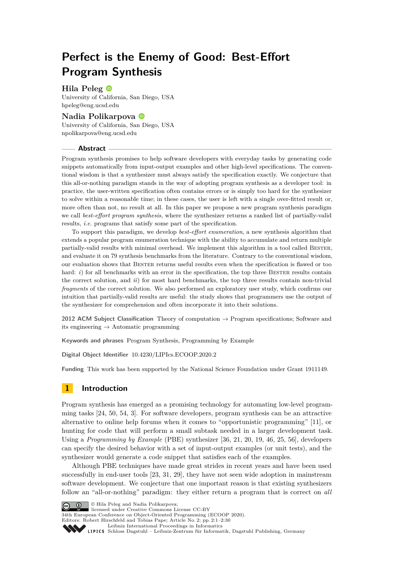# **Perfect is the Enemy of Good: Best-Effort Program Synthesis**

# **Hila Peleg**

University of California, San Diego, USA [hpeleg@eng.ucsd.edu](mailto:hpeleg@eng.ucsd.edu)

## **Nadia Polikarpova**

University of California, San Diego, USA [npolikarpova@eng.ucsd.edu](mailto:npolikarpova@eng.ucsd.edu)

#### **Abstract**

Program synthesis promises to help software developers with everyday tasks by generating code snippets automatically from input-output examples and other high-level specifications. The conventional wisdom is that a synthesizer must always satisfy the specification exactly. We conjecture that this all-or-nothing paradigm stands in the way of adopting program synthesis as a developer tool: in practice, the user-written specification often contains errors or is simply too hard for the synthesizer to solve within a reasonable time; in these cases, the user is left with a single over-fitted result or, more often than not, no result at all. In this paper we propose a new program synthesis paradigm we call *best-effort program synthesis*, where the synthesizer returns a ranked list of partially-valid results, *i.e.* programs that satisfy some part of the specification.

To support this paradigm, we develop *best-effort enumeration*, a new synthesis algorithm that extends a popular program enumeration technique with the ability to accumulate and return multiple partially-valid results with minimal overhead. We implement this algorithm in a tool called Bester, and evaluate it on 79 synthesis benchmarks from the literature. Contrary to the conventional wisdom, our evaluation shows that Bester returns useful results even when the specification is flawed or too hard: *i*) for all benchmarks with an error in the specification, the top three BESTER results contain the correct solution, and *ii*) for most hard benchmarks, the top three results contain non-trivial *fragments* of the correct solution. We also performed an exploratory user study, which confirms our intuition that partially-valid results are useful: the study shows that programmers use the output of the synthesizer for comprehension and often incorporate it into their solutions.

**2012 ACM Subject Classification** Theory of computation → Program specifications; Software and its engineering  $\rightarrow$  Automatic programming

**Keywords and phrases** Program Synthesis, Programming by Example

**Digital Object Identifier** [10.4230/LIPIcs.ECOOP.2020.2](https://doi.org/10.4230/LIPIcs.ECOOP.2020.2)

**Funding** This work has been supported by the National Science Foundation under Grant 1911149.

# **1 Introduction**

Program synthesis has emerged as a promising technology for automating low-level programming tasks [\[24,](#page-27-0) [50,](#page-28-0) [54,](#page-28-1) [3\]](#page-25-0). For software developers, program synthesis can be an attractive alternative to online help forums when it comes to "opportunistic programming" [\[11\]](#page-26-0), or hunting for code that will perform a small subtask needed in a larger development task. Using a *Programming by Example* (PBE) synthesizer [\[36,](#page-27-1) [21,](#page-26-1) [20,](#page-26-2) [19,](#page-26-3) [46,](#page-28-2) [25,](#page-27-2) [56\]](#page-29-0), developers can specify the desired behavior with a set of input-output examples (or unit tests), and the synthesizer would generate a code snippet that satisfies each of the examples.

Although PBE techniques have made great strides in recent years and have been used successfully in end-user tools [\[23,](#page-26-4) [31,](#page-27-3) [29\]](#page-27-4), they have not seen wide adoption in mainstream software development. We conjecture that one important reason is that existing synthesizers follow an "all-or-nothing" paradigm: they either return a program that is correct on *all*



**C**  $\bullet$  **D**  $\circ$  Hila Peleg and Nadia Polikarpova:

licensed under Creative Commons License CC-BY

34th European Conference on Object-Oriented Programming (ECOOP 2020).

Editors: Robert Hirschfeld and Tobias Pape; Article No. 2; pp. 2:1–2[:30](#page-29-1)

[Leibniz International Proceedings in Informatics](https://www.dagstuhl.de/lipics/) [Schloss Dagstuhl – Leibniz-Zentrum für Informatik, Dagstuhl Publishing, Germany](https://www.dagstuhl.de)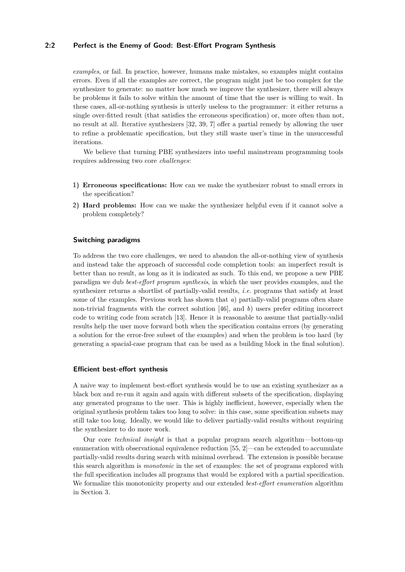## **2:2 Perfect is the Enemy of Good: Best-Effort Program Synthesis**

*examples*, or fail. In practice, however, humans make mistakes, so examples might contains errors. Even if all the examples are correct, the program might just be too complex for the synthesizer to generate: no matter how much we improve the synthesizer, there will always be problems it fails to solve within the amount of time that the user is willing to wait. In these cases, all-or-nothing synthesis is utterly useless to the programmer: it either returns a single over-fitted result (that satisfies the erroneous specification) or, more often than not, no result at all. Iterative synthesizers [\[32,](#page-27-5) [39,](#page-27-6) [7\]](#page-25-1) offer a partial remedy by allowing the user to refine a problematic specification, but they still waste user's time in the unsuccessful iterations.

We believe that turning PBE synthesizers into useful mainstream programming tools requires addressing two core *challenges*:

- **1) Erroneous specifications:** How can we make the synthesizer robust to small errors in the specification?
- **2) Hard problems:** How can we make the synthesizer helpful even if it cannot solve a problem completely?

#### **Switching paradigms**

To address the two core challenges, we need to abandon the all-or-nothing view of synthesis and instead take the approach of successful code completion tools: an imperfect result is better than no result, as long as it is indicated as such. To this end, we propose a new PBE paradigm we dub *best-effort program synthesis*, in which the user provides examples, and the synthesizer returns a shortlist of partially-valid results, *i.e.* programs that satisfy at least some of the examples. Previous work has shown that *a*) partially-valid programs often share non-trivial fragments with the correct solution [\[46\]](#page-28-2), and *b*) users prefer editing incorrect code to writing code from scratch [\[13\]](#page-26-5). Hence it is reasonable to assume that partially-valid results help the user move forward both when the specification contains errors (by generating a solution for the error-free subset of the examples) and when the problem is too hard (by generating a spacial-case program that can be used as a building block in the final solution).

#### **Efficient best-effort synthesis**

A naive way to implement best-effort synthesis would be to use an existing synthesizer as a black box and re-run it again and again with different subsets of the specification, displaying any generated programs to the user. This is highly inefficient, however, especially when the original synthesis problem takes too long to solve: in this case, some specification subsets may still take too long. Ideally, we would like to deliver partially-valid results without requiring the synthesizer to do more work.

Our core *technical insight* is that a popular program search algorithm—bottom-up enumeration with observational equivalence reduction [\[55,](#page-28-3) [2\]](#page-25-2)—can be extended to accumulate partially-valid results during search with minimal overhead. The extension is possible because this search algorithm is *monotonic* in the set of examples: the set of programs explored with the full specification includes all programs that would be explored with a partial specification. We formalize this monotonicity property and our extended *best-effort enumeration* algorithm in [Section 3.](#page-8-0)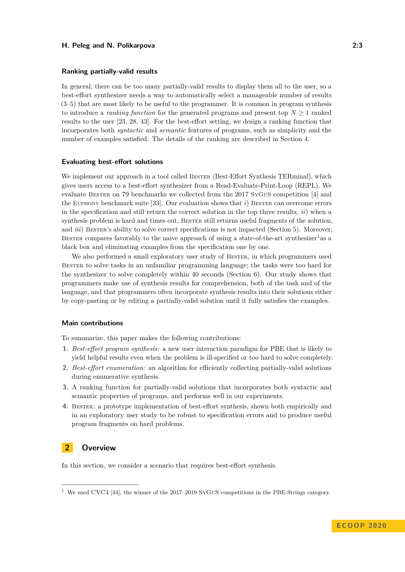### **Ranking partially-valid results**

In general, there can be too many partially-valid results to display them all to the user, so a best-effort synthesizer needs a way to automatically select a manageable number of results (3–5) that are most likely to be useful to the programmer. It is common in program synthesis to introduce a *ranking function* for the generated programs and present top  $N \geq 1$  ranked results to the user [\[23,](#page-26-4) [28,](#page-27-7) [43\]](#page-28-4). For the best-effort setting, we design a ranking function that incorporates both *syntactic* and *semantic* features of programs, such as simplicity and the number of examples satisfied. The details of the ranking are described in [Section 4.](#page-10-0)

#### **Evaluating best-effort solutions**

We implement our approach in a tool called BESTER (Best-Effort Synthesis TERminal), which gives users access to a best-effort synthesizer from a Read-Evaluate-Print-Loop (REPL). We evaluate Bester on 79 benchmarks we collected from the 2017 SyGuS competition [\[4\]](#page-25-3) and the Euphony benchmark suite [\[33\]](#page-27-8). Our evaluation shows that *i*) Bester can overcome errors in the specification and still return the correct solution in the top three results, *ii*) when a synthesis problem is hard and times out, Bester still returns useful fragments of the solution, and *iii*) BESTER's ability to solve correct specifications is not impacted [\(Section 5\)](#page-12-0). Moreover, BESTER compares favorably to the naive approach of using a state-of-the-art synthesizer<sup>[1](#page-2-0)</sup> as a black box and eliminating examples from the specification one by one.

We also performed a small exploratory user study of BESTER, in which programmers used BESTER to solve tasks in an unfamiliar programming language; the tasks were too hard for the synthesizer to solve completely within 40 seconds [\(Section 6\)](#page-19-0). Our study shows that programmers make use of synthesis results for comprehension, both of the task and of the language, and that programmers often incorporate synthesis results into their solutions either by copy-pasting or by editing a partially-valid solution until it fully satisfies the examples.

## **Main contributions**

To summarize, this paper makes the following contributions:

- **1.** *Best-effort program synthesis:* a new user interaction paradigm for PBE that is likely to yield helpful results even when the problem is ill-specified or too hard to solve completely.
- **2.** *Best-effort enumeration:* an algorithm for efficiently collecting partially-valid solutions during enumerative synthesis.
- **3.** A ranking function for partially-valid solutions that incorporates both syntactic and semantic properties of programs, and performs well in our experiments.
- **4.** Bester: a prototype implementation of best-effort synthesis, shown both empirically and in an exploratory user study to be robust to specification errors and to produce useful program fragments on hard problems.

## <span id="page-2-1"></span>**2 Overview**

In this section, we consider a scenario that requires best-effort synthesis.

<span id="page-2-0"></span><sup>1</sup> We used CVC4 [\[44\]](#page-28-5), the winner of the 2017–2019 SyGuS competitions in the PBE-Strings category.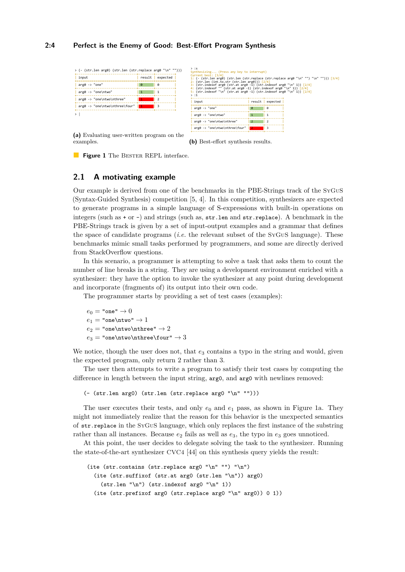#### **2:4 Perfect is the Enemy of Good: Best-Effort Program Synthesis**

<span id="page-3-0"></span>

| input                          | result expected | Current best: [3/4]<br>1: $(-$ (str.len arg0) (str.len (str.replace (str.replace arg0 "\n" "") "\n" ""))) $\lceil 3/4 \rceil$ |                                                                                                                                                                                                              |          |  |  |  |
|--------------------------------|-----------------|-------------------------------------------------------------------------------------------------------------------------------|--------------------------------------------------------------------------------------------------------------------------------------------------------------------------------------------------------------|----------|--|--|--|
| $arg\theta \rightarrow "one"$  |                 |                                                                                                                               | 2: $(str.length (int.to.str (str.length area)))$ [2/4]<br>$3:$ (str.indexof arg0 (str.at arg0 -1) (str.indexof arg0 "\n" 1)) [2/4]<br>4: (str.indexof "" (str.at arg0 -1) (str.indexof arg0 "\n" 1)) $[2/4]$ |          |  |  |  |
| arg0 -> "one\ntwo"             |                 | 5: $(str.indexof "n" (str.at arg0 -1) (str.indexof arg0 "n" 1)) [2/4]$<br>> :1                                                |                                                                                                                                                                                                              |          |  |  |  |
| arg0 -> "one\ntwo\nthree"      |                 | input                                                                                                                         | result                                                                                                                                                                                                       | expected |  |  |  |
| arg0 -> "one\ntwo\nthree\four" |                 | $area -> "one"$<br>$\theta$<br>ø                                                                                              |                                                                                                                                                                                                              |          |  |  |  |
|                                |                 | $arg\theta \rightarrow "one\ntwo"$                                                                                            |                                                                                                                                                                                                              |          |  |  |  |
|                                |                 | arg0 -> "one\ntwo\nthree"                                                                                                     |                                                                                                                                                                                                              |          |  |  |  |
|                                |                 | arg0 -> "one\ntwo\nthree\four"                                                                                                |                                                                                                                                                                                                              |          |  |  |  |

**(b)** Best-effort synthesis results.

**Figure 1** The BESTER REPL interface.

## <span id="page-3-1"></span>**2.1 A motivating example**

examples.

Our example is derived from one of the benchmarks in the PBE-Strings track of the SyGuS (Syntax-Guided Synthesis) competition [\[5,](#page-25-4) [4\]](#page-25-3). In this competition, synthesizers are expected to generate programs in a simple language of S-expressions with built-in operations on integers (such as  $+$  or  $-$ ) and strings (such as,  $str.length$  and  $str.replace$ ). A benchmark in the PBE-Strings track is given by a set of input-output examples and a grammar that defines the space of candidate programs (*i.e.* the relevant subset of the SyGuS language). These benchmarks mimic small tasks performed by programmers, and some are directly derived from StackOverflow questions.

In this scenario, a programmer is attempting to solve a task that asks them to count the number of line breaks in a string. They are using a development environment enriched with a synthesizer: they have the option to invoke the synthesizer at any point during development and incorporate (fragments of) its output into their own code.

The programmer starts by providing a set of test cases (examples):

 $e_0 =$ "one"  $\rightarrow 0$  $e_1$  = "one\ntwo"  $\rightarrow$  $e_2$  = "one\ntwo\nthree"  $\rightarrow$  $e_3$  = "one\ntwo\nthree\four"  $\rightarrow$ 

We notice, though the user does not, that  $e_3$  contains a typo in the string and would, given the expected program, only return 2 rather than 3.

The user then attempts to write a program to satisfy their test cases by computing the difference in length between the input string, arg0, and arg0 with newlines removed:

(- (str.len arg0) (str.len (str.replace arg0 "\n" "")))

The user executes their tests, and only  $e_0$  and  $e_1$  pass, as shown in [Figure 1a.](#page-3-0) They might not immediately realize that the reason for this behavior is the unexpected semantics of str.replace in the SyGuS language, which only replaces the first instance of the substring rather than all instances. Because  $e_2$  fails as well as  $e_3$ , the typo in  $e_3$  goes unnoticed.

At this point, the user decides to delegate solving the task to the synthesizer. Running the state-of-the-art synthesizer CVC4 [\[44\]](#page-28-5) on this synthesis query yields the result:

```
(ite (str.contains (str.replace arg0 "\n" "") "\n")
 (ite (str.suffixof (str.at arg0 (str.len "\n")) arg0)
    (str.length "n") (str.index of arg0 "n" 1))(ite (str.prefixof arg0 (str.replace arg0 "\n" arg0)) 0 1))
```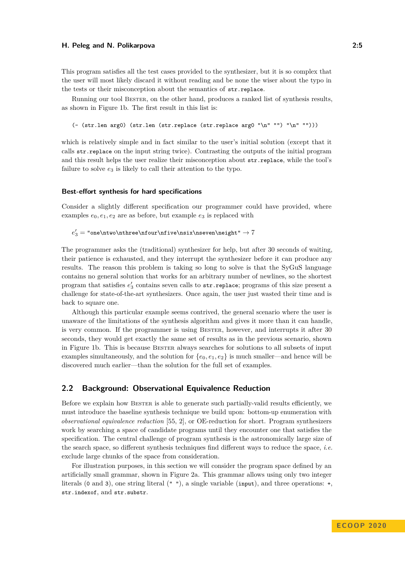This program satisfies all the test cases provided to the synthesizer, but it is so complex that the user will most likely discard it without reading and be none the wiser about the typo in the tests or their misconception about the semantics of str.replace.

Running our tool Bester, on the other hand, produces a ranked list of synthesis results, as shown in [Figure 1b.](#page-3-0) The first result in this list is:

```
(- (str.len arg0) (str.len (str.replace (str.replace arg0 "\n" "") "\n" "")))
```
which is relatively simple and in fact similar to the user's initial solution (except that it calls str.replace on the input string twice). Contrasting the outputs of the initial program and this result helps the user realize their misconception about str.replace, while the tool's failure to solve  $e_3$  is likely to call their attention to the typo.

#### **Best-effort synthesis for hard specifications**

Consider a slightly different specification our programmer could have provided, where examples  $e_0, e_1, e_2$  are as before, but example  $e_3$  is replaced with

 $e'_3 = "one\ntwo\nthree\nfour\nfive\nsix\nseven\neight" \to 7$ 

The programmer asks the (traditional) synthesizer for help, but after 30 seconds of waiting, their patience is exhausted, and they interrupt the synthesizer before it can produce any results. The reason this problem is taking so long to solve is that the SyGuS language contains no general solution that works for an arbitrary number of newlines, so the shortest program that satisfies  $e_3'$  contains seven calls to str.replace; programs of this size present a challenge for state-of-the-art synthesizers. Once again, the user just wasted their time and is back to square one.

Although this particular example seems contrived, the general scenario where the user is unaware of the limitations of the synthesis algorithm and gives it more than it can handle, is very common. If the programmer is using Bester, however, and interrupts it after 30 seconds, they would get exactly the same set of results as in the previous scenario, shown in [Figure 1b.](#page-3-0) This is because Bester always searches for solutions to all subsets of input examples simultaneously, and the solution for  $\{e_0, e_1, e_2\}$  is much smaller—and hence will be discovered much earlier—than the solution for the full set of examples.

# <span id="page-4-0"></span>**2.2 Background: Observational Equivalence Reduction**

Before we explain how Bester is able to generate such partially-valid results efficiently, we must introduce the baseline synthesis technique we build upon: bottom-up enumeration with *observational equivalence reduction* [\[55,](#page-28-3) [2\]](#page-25-2), or OE-reduction for short. Program synthesizers work by searching a space of candidate programs until they encounter one that satisfies the specification. The central challenge of program synthesis is the astronomically large size of the search space, so different synthesis techniques find different ways to reduce the space, *i.e.* exclude large chunks of the space from consideration.

For illustration purposes, in this section we will consider the program space defined by an artificially small grammar, shown in Figure [2a.](#page-6-0) This grammar allows using only two integer literals (0 and 3), one string literal (" "), a single variable (input), and three operations: +, str.indexof, and str.substr.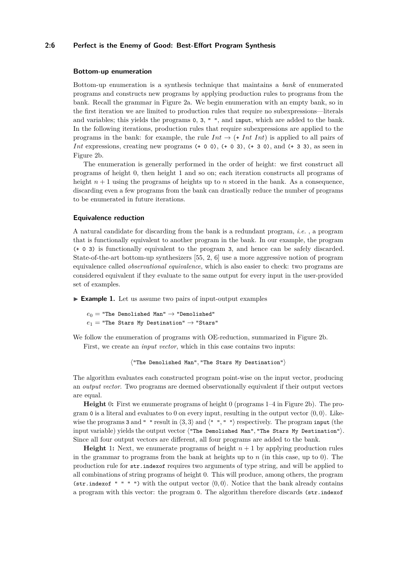## **2:6 Perfect is the Enemy of Good: Best-Effort Program Synthesis**

#### **Bottom-up enumeration**

Bottom-up enumeration is a synthesis technique that maintains a *bank* of enumerated programs and constructs new programs by applying production rules to programs from the bank. Recall the grammar in Figure [2a.](#page-6-0) We begin enumeration with an empty bank, so in the first iteration we are limited to production rules that require no subexpressions—literals and variables; this yields the programs 0, 3, " ", and input, which are added to the bank. In the following iterations, production rules that require subexpressions are applied to the programs in the bank: for example, the rule  $Int \rightarrow (+ Int Int)$  is applied to all pairs of *Int* expressions, creating new programs (+ 0 0), (+ 0 3), (+ 3 0), and (+ 3 3), as seen in Figure [2b.](#page-6-0)

The enumeration is generally performed in the order of height: we first construct all programs of height 0, then height 1 and so on; each iteration constructs all programs of height  $n + 1$  using the programs of heights up to  $n$  stored in the bank. As a consequence, discarding even a few programs from the bank can drastically reduce the number of programs to be enumerated in future iterations.

#### **Equivalence reduction**

A natural candidate for discarding from the bank is a redundant program, *i.e.* , a program that is functionally equivalent to another program in the bank. In our example, the program (+ 0 3) is functionally equivalent to the program 3, and hence can be safely discarded. State-of-the-art bottom-up synthesizers [\[55,](#page-28-3) [2,](#page-25-2) [6\]](#page-25-5) use a more aggressive notion of program equivalence called *observational equivalence*, which is also easier to check: two programs are considered equivalent if they evaluate to the same output for every input in the user-provided set of examples.

<span id="page-5-0"></span>► **Example 1.** Let us assume two pairs of input-output examples

 $e_0$  = "The Demolished Man"  $\rightarrow$  "Demolished"  $e_1$  = "The Stars My Destination"  $\rightarrow$  "Stars"

We follow the enumeration of programs with OE-reduction, summarized in Figure [2b.](#page-6-0) First, we create an *input vector*, which in this case contains two inputs:

 $\langle$ "The Demolished Man", "The Stars My Destination")

The algorithm evaluates each constructed program point-wise on the input vector, producing an *output vector*. Two programs are deemed observationally equivalent if their output vectors are equal.

**Height** 0: First we enumerate programs of height 0 (programs 1–4 in Figure [2b\)](#page-6-0). The program 0 is a literal and evaluates to 0 on every input, resulting in the output vector  $\langle 0, 0 \rangle$ . Likewise the programs 3 and " " result in  $\langle 3, 3 \rangle$  and  $\langle$  " ", " " $\rangle$  respectively. The program input (the input variable) yields the output vector ("The Demolished Man", "The Stars My Destination"). Since all four output vectors are different, all four programs are added to the bank.

**Height** 1: Next, we enumerate programs of height  $n + 1$  by applying production rules in the grammar to programs from the bank at heights up to *n* (in this case, up to 0). The production rule for str.indexof requires two arguments of type string, and will be applied to all combinations of string programs of height 0. This will produce, among others, the program (str.indexof " " ") with the output vector  $(0,0)$ . Notice that the bank already contains a program with this vector: the program 0. The algorithm therefore discards (str.indexof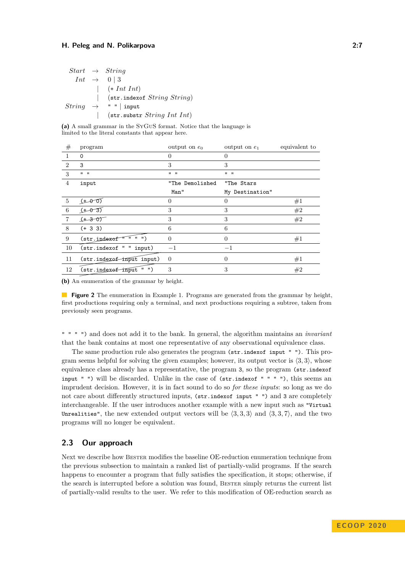<span id="page-6-0"></span>

|               | $Start \rightarrow String$             |
|---------------|----------------------------------------|
|               | $Int \rightarrow 0 \mid 3$             |
|               | $\vert$ (+ Int Int)                    |
|               | $(\text{str.}\,indexof String String)$ |
| <i>String</i> | $\rightarrow$ " "   input              |
|               | $\vert$ (str.substr String Int Int)    |

**(a)** A small grammar in the SyGuS format. Notice that the language is limited to the literal constants that appear here.

| #              | program                               | output on $e_0$           | output on $e_1$           | equivalent to |
|----------------|---------------------------------------|---------------------------|---------------------------|---------------|
|                | $\Omega$                              | $\Omega$                  | 0                         |               |
| $\overline{2}$ | 3                                     | 3                         | 3                         |               |
| 3              | $\mathbf{u}$ $\mathbf{u}$             | $\mathbf{u}$ $\mathbf{u}$ | $\mathbf{u}$ $\mathbf{u}$ |               |
| 4              | input                                 | "The Demolished           | "The Stars                |               |
|                |                                       | Man"                      | My Destination"           |               |
| $5^{\circ}$    | $f + \theta$                          | 0                         | $\Omega$                  | #1            |
| 6              | $\underline{\overline{(1-\theta-3)}}$ | 3                         | 3                         | #2            |
| $\overline{7}$ | $+307$                                | 3                         | 3                         | #2            |
| 8              | $(+ 3 3)$                             | 6                         | 6                         |               |
| 9              | (str.java for " " " " "")             | $\Omega$                  | $\theta$                  | #1            |
| 10             | (str.indexof " " input)               | $-1$                      | $-1$                      |               |
| 11             | (str.index of input input)            | $\theta$                  | $\overline{0}$            | #1            |
| 12             | (str.indexof-input " ")               | 3                         | 3                         | #2            |
|                |                                       |                           |                           |               |

**(b)** An enumeration of the grammar by height.

**Figure 2** The enumeration in Example [1.](#page-5-0) Programs are generated from the grammar by height, first productions requiring only a terminal, and next productions requiring a subtree, taken from previously seen programs.

" " " ") and does not add it to the bank. In general, the algorithm maintains an *invariant* that the bank contains at most one representative of any observational equivalence class.

The same production rule also generates the program (str.indexof input " "). This program seems helpful for solving the given examples; however, its output vector is  $\langle 3,3 \rangle$ , whose equivalence class already has a representative, the program 3, so the program (str.indexof input " ") will be discarded. Unlike in the case of  $(\text{str.indexof } " " ""),$  this seems an imprudent decision. However, it is in fact sound to do so *for these inputs*: so long as we do not care about differently structured inputs, (str.indexof input " ") and 3 are completely interchangeable. If the user introduces another example with a new input such as "Virtual Unrealities", the new extended output vectors will be  $\langle 3, 3, 3 \rangle$  and  $\langle 3, 3, 7 \rangle$ , and the two programs will no longer be equivalent.

# **2.3 Our approach**

Next we describe how Bester modifies the baseline OE-reduction enumeration technique from the previous subsection to maintain a ranked list of partially-valid programs. If the search happens to encounter a program that fully satisfies the specification, it stops; otherwise, if the search is interrupted before a solution was found, Bester simply returns the current list of partially-valid results to the user. We refer to this modification of OE-reduction search as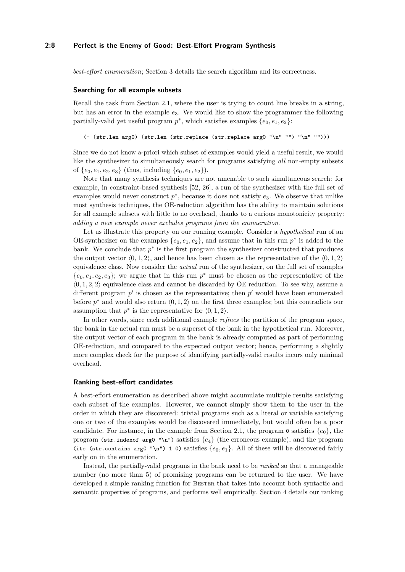#### **2:8 Perfect is the Enemy of Good: Best-Effort Program Synthesis**

*best-effort enumeration*; Section [3](#page-8-0) details the search algorithm and its correctness.

#### **Searching for all example subsets**

Recall the task from Section [2.1,](#page-3-1) where the user is trying to count line breaks in a string, but has an error in the example *e*3. We would like to show the programmer the following partially-valid yet useful program  $p^*$ , which satisfies examples  $\{e_0, e_1, e_2\}$ :

```
(- (str.len arg0) (str.len (str.replace (str.replace arg0 "\n" "") "\n" "")))
```
Since we do not know a-priori which subset of examples would yield a useful result, we would like the synthesizer to simultaneously search for programs satisfying *all* non-empty subsets of  $\{e_0, e_1, e_2, e_3\}$  (thus, including  $\{e_0, e_1, e_2\}$ ).

Note that many synthesis techniques are not amenable to such simultaneous search: for example, in constraint-based synthesis [\[52,](#page-28-6) [26\]](#page-27-9), a run of the synthesizer with the full set of examples would never construct *p* ∗ , because it does not satisfy *e*3. We observe that unlike most synthesis techniques, the OE-reduction algorithm has the ability to maintain solutions for all example subsets with little to no overhead, thanks to a curious monotonicity property: *adding a new example never excludes programs from the enumeration*.

Let us illustrate this property on our running example. Consider a *hypothetical* run of an OE-synthesizer on the examples  $\{e_0, e_1, e_2\}$ , and assume that in this run  $p^*$  is added to the bank. We conclude that  $p^*$  is the first program the synthesizer constructed that produces the output vector  $\langle 0, 1, 2 \rangle$ , and hence has been chosen as the representative of the  $\langle 0, 1, 2 \rangle$ equivalence class. Now consider the *actual* run of the synthesizer, on the full set of examples  ${e_0, e_1, e_2, e_3}$ ; we argue that in this run  $p^*$  must be chosen as the representative of the  $(0, 1, 2, 2)$  equivalence class and cannot be discarded by OE reduction. To see why, assume a different program  $p'$  is chosen as the representative; then  $p'$  would have been enumerated before  $p^*$  and would also return  $\langle 0, 1, 2 \rangle$  on the first three examples; but this contradicts our assumption that  $p^*$  is the representative for  $\langle 0, 1, 2 \rangle$ .

In other words, since each additional example *refines* the partition of the program space, the bank in the actual run must be a superset of the bank in the hypothetical run. Moreover, the output vector of each program in the bank is already computed as part of performing OE-reduction, and compared to the expected output vector; hence, performing a slightly more complex check for the purpose of identifying partially-valid results incurs only minimal overhead.

#### **Ranking best-effort candidates**

A best-effort enumeration as described above might accumulate multiple results satisfying each subset of the examples. However, we cannot simply show them to the user in the order in which they are discovered: trivial programs such as a literal or variable satisfying one or two of the examples would be discovered immediately, but would often be a poor candidate. For instance, in the example from Section [2.1,](#page-3-1) the program  $\circ$  satisfies  $\{e_0\}$ , the program (str.indexof arg0 "\n") satisfies {*e*4} (the erroneous example), and the program (ite (str.contains arg0 "\n") 1 0) satisfies  $\{e_0, e_1\}$ . All of these will be discovered fairly early on in the enumeration.

Instead, the partially-valid programs in the bank need to be *ranked* so that a manageable number (no more than 5) of promising programs can be returned to the user. We have developed a simple ranking function for Bester that takes into account both syntactic and semantic properties of programs, and performs well empirically. Section [4](#page-10-0) details our ranking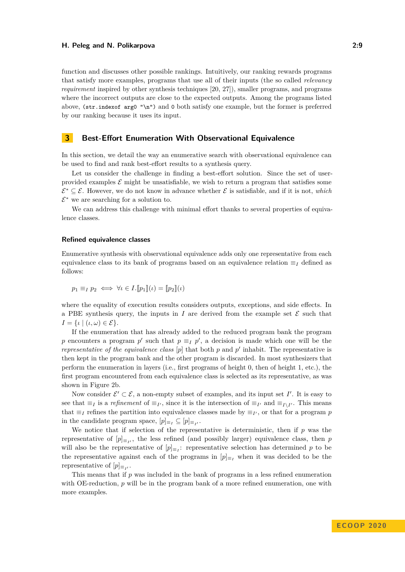function and discusses other possible rankings. Intuitively, our ranking rewards programs that satisfy more examples, programs that use all of their inputs (the so called *relevancy requirement* inspired by other synthesis techniques [\[20,](#page-26-2) [27\]](#page-27-10)), smaller programs, and programs where the incorrect outputs are close to the expected outputs. Among the programs listed above, (str.indexof arg0 "\n") and 0 both satisfy one example, but the former is preferred by our ranking because it uses its input.

# <span id="page-8-0"></span>**3 Best-Effort Enumeration With Observational Equivalence**

In this section, we detail the way an enumerative search with observational equivalence can be used to find and rank best-effort results to a synthesis query.

Let us consider the challenge in finding a best-effort solution. Since the set of userprovided examples  $\mathcal E$  might be unsatisfiable, we wish to return a program that satisfies some  $\mathcal{E}^* \subseteq \mathcal{E}$ . However, we do not know in advance whether  $\mathcal{E}$  is satisfiable, and if it is not, *which*  $\mathcal{E}^*$  we are searching for a solution to.

We can address this challenge with minimal effort thanks to several properties of equivalence classes.

#### **Refined equivalence classes**

Enumerative synthesis with observational equivalence adds only one representative from each equivalence class to its bank of programs based on an equivalence relation  $\equiv_I$  defined as follows:

$$
p_1 \equiv_I p_2 \iff \forall \iota \in I. [\![p_1]\!](\iota) = [\![p_2]\!](\iota)
$$

where the equality of execution results considers outputs, exceptions, and side effects. In a PBE synthesis query, the inputs in *I* are derived from the example set  $\mathcal E$  such that  $I = \{ \iota \mid (\iota, \omega) \in \mathcal{E} \}.$ 

If the enumeration that has already added to the reduced program bank the program *p* encounters a program *p*<sup> $\prime$ </sup> such that  $p \equiv_{I} p'$ , a decision is made which one will be the *representative of the equivalence class*  $[p]$  that both  $p$  and  $p'$  inhabit. The representative is then kept in the program bank and the other program is discarded. In most synthesizers that perform the enumeration in layers (i.e., first programs of height 0, then of height 1, etc.), the first program encountered from each equivalence class is selected as its representative, as was shown in Figure [2b.](#page-6-0)

Now consider  $\mathcal{E}' \subset \mathcal{E}$ , a non-empty subset of examples, and its input set *I'*. It is easy to see that  $\equiv_I$  is a *refinement* of  $\equiv_{I'}$ , since it is the intersection of  $\equiv_{I'}$  and  $\equiv_{I\setminus I'}$ . This means that  $\equiv_I$  refines the partition into equivalence classes made by  $\equiv_{I'}$ , or that for a program *p* in the candidate program space,  $[p]_{\equiv_I} \subseteq [p]_{\equiv_{I'}}$ .

We notice that if selection of the representative is deterministic, then if *p* was the representative of  $[p]_{\equiv_{I'}}$ , the less refined (and possibly larger) equivalence class, then *p* will also be the representative of  $[p]_{\equiv I}$ : representative selection has determined *p* to be the representative against each of the programs in  $[p]_{\equiv_I}$  when it was decided to be the representative of  $[p]_{\equiv_{I'}}$ .

This means that if *p* was included in the bank of programs in a less refined enumeration with OE-reduction, *p* will be in the program bank of a more refined enumeration, one with more examples.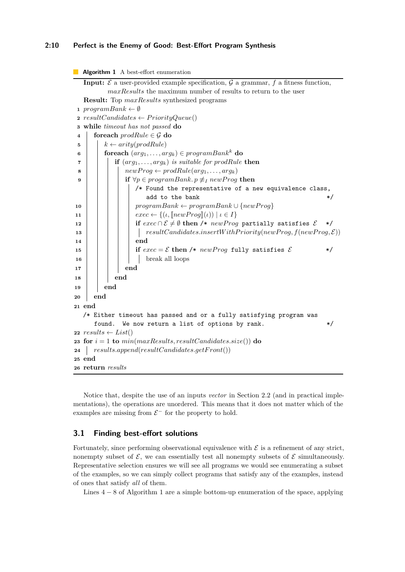## **2:10 Perfect is the Enemy of Good: Best-Effort Program Synthesis**

```
Algorithm 1 A best-effort enumeration
   Input: \mathcal{E} a user-provided example specification, \mathcal{G} a grammar, f a fitness function,
          maxResults the maximum number of results to return to the user
   Result: Top maxResults synthesized programs
 1 programBank \leftarrow \emptyset2 resultC and <i>idates</i> \leftarrow <i>PriorityQueue()</i>3 while timeout has not passed do
 4 foreach \text{prodRule} \in \mathcal{G} do
 5 \vert k \leftarrow arity(predRule)6 for if \{arg_1, \ldots, arg_k\} \in programBank^k do
 7 if (arg1, . . . , argk) is suitable for prodRule then
 8 newP rog ← prodRule(arg1, . . . , argk)
 9 i if \forall p \in programBank. p \not\equiv_I newProg then
                   /* Found the representative of a new equivalence class,
                      add to the bank \ast/10 programBank ← programBank ∪ {newP rog}
11 exec ← {(\iota, [\text{newProg}](\iota)) | \iota \in I}<br>
if exec \cap \mathcal{E} \neq \emptyset then /* newProg
                   if exec \cap E ≠ ∅ then /* newProg partially satisfies E */
13 resultCandidates.insertW ithP riority(newP rog, f(newP rog, E))
14 end
15 i if exec = \mathcal{E} then /* newProg fully satisfies \mathcal{E} */
16 | | | | break all loops
17 end
18 end
19 end
20 end
21 end
   /* Either timeout has passed and or a fully satisfying program was
      found. We now return a list of options by rank. */22 results \leftarrow List()23 for i = 1 to min(maxResults, resultC and dates.size()) do
24 results.append(resultCandidates.getFront())
25 end
26 return results
```
<span id="page-9-0"></span>Notice that, despite the use of an inputs *vector* in Section [2.2](#page-4-0) (and in practical implementations), the operations are unordered. This means that it does not matter which of the examples are missing from  $\mathcal{E}^-$  for the property to hold.

## **3.1 Finding best-effort solutions**

Fortunately, since performing observational equivalence with  $\mathcal E$  is a refinement of any strict, nonempty subset of  $\mathcal{E}$ , we can essentially test all nonempty subsets of  $\mathcal{E}$  simultaneously. Representative selection ensures we will see all programs we would see enumerating a subset of the examples, so we can simply collect programs that satisfy any of the examples, instead of ones that satisfy *all* of them.

Lines 4 − 8 of Algorithm [1](#page-9-0) are a simple bottom-up enumeration of the space, applying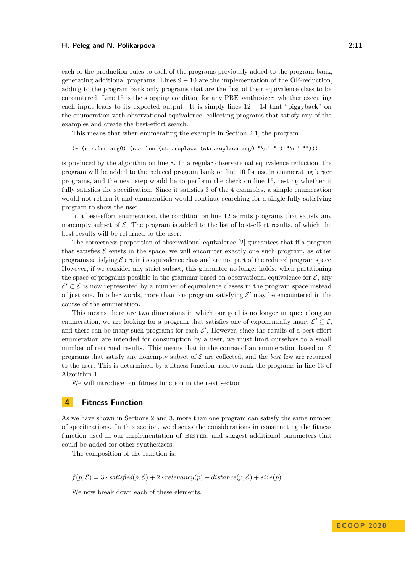each of the production rules to each of the programs previously added to the program bank, generating additional programs. Lines  $9 - 10$  are the implementation of the OE-reduction, adding to the program bank only programs that are the first of their equivalence class to be encountered. Line 15 is the stopping condition for any PBE synthesizer: whether executing each input leads to its expected output. It is simply lines  $12 - 14$  that "piggyback" on the enumeration with observational equivalence, collecting programs that satisfy any of the examples and create the best-effort search.

This means that when enumerating the example in Section [2.1,](#page-3-1) the program

(- (str.len arg0) (str.len (str.replace (str.replace arg0 "\n" "") "\n" "")))

is produced by the algorithm on line 8. In a regular observational equivalence reduction, the program will be added to the reduced program bank on line 10 for use in enumerating larger programs, and the next step would be to perform the check on line 15, testing whether it fully satisfies the specification. Since it satisfies 3 of the 4 examples, a simple enumeration would not return it and enumeration would continue searching for a single fully-satisfying program to show the user.

In a best-effort enumeration, the condition on line 12 admits programs that satisfy any nonempty subset of  $\mathcal E$ . The program is added to the list of best-effort results, of which the best results will be returned to the user.

The correctness proposition of observational equivalence [\[2\]](#page-25-2) guarantees that if a program that satisfies  $\mathcal E$  exists in the space, we will encounter exactly one such program, as other programs satisfying  $\mathcal E$  are in its equivalence class and are not part of the reduced program space. However, if we consider any strict subset, this guarantee no longer holds: when partitioning the space of programs possible in the grammar based on observational equivalence for  $\mathcal{E}$ , any  $\mathcal{E}' \subset \mathcal{E}$  is now represented by a number of equivalence classes in the program space instead of just one. In other words, more than one program satisfying  $\mathcal{E}'$  may be encountered in the course of the enumeration.

This means there are two dimensions in which our goal is no longer unique: along an enumeration, we are looking for a program that satisfies one of exponentially many  $\mathcal{E}' \subseteq \mathcal{E}$ , and there can be many such programs for each  $\mathcal{E}'$ . However, since the results of a best-effort enumeration are intended for consumption by a user, we must limit ourselves to a small number of returned results. This means that in the course of an enumeration based on  $\mathcal E$ programs that satisfy any nonempty subset of  $\mathcal E$  are collected, and the *best* few are returned to the user. This is determined by a fitness function used to rank the programs in line 13 of Algorithm [1.](#page-9-0)

We will introduce our fitness function in the next section.

## <span id="page-10-0"></span>**4 Fitness Function**

As we have shown in Sections [2](#page-2-1) and [3,](#page-8-0) more than one program can satisfy the same number of specifications. In this section, we discuss the considerations in constructing the fitness function used in our implementation of BESTER, and suggest additional parameters that could be added for other synthesizers.

The composition of the function is:

$$
f(p, \mathcal{E}) = 3
$$
 *satisfied* $(p, \mathcal{E}) + 2$  *relevance* $(p) + distance(p, \mathcal{E}) + size(p)$ 

We now break down each of these elements.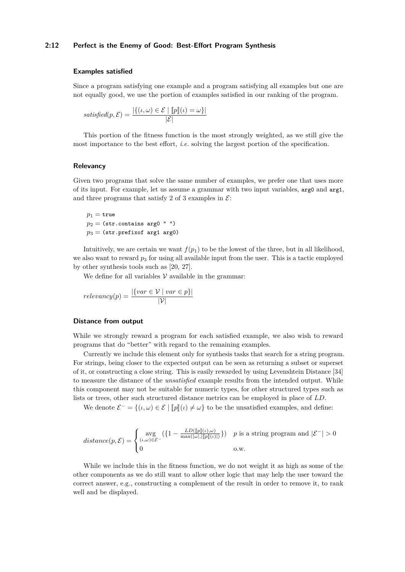#### **2:12 Perfect is the Enemy of Good: Best-Effort Program Synthesis**

#### **Examples satisfied**

Since a program satisfying one example and a program satisfying all examples but one are not equally good, we use the portion of examples satisfied in our ranking of the program.

satisfied(p, E) = 
$$
\frac{|\{(i, \omega) \in E \mid [p](i) = \omega\}|}{|E|}
$$

This portion of the fitness function is the most strongly weighted, as we still give the most importance to the best effort, *i.e.* solving the largest portion of the specification.

#### **Relevancy**

Given two programs that solve the same number of examples, we prefer one that uses more of its input. For example, let us assume a grammar with two input variables, arg0 and arg1, and three programs that satisfy 2 of 3 examples in  $\mathcal{E}$ :

 $p_1$  = true  $p_2 =$  (str.contains arg0  $" "$  $p_3$  = (str.prefixof arg1 arg0)

Intuitively, we are certain we want  $f(p_1)$  to be the lowest of the three, but in all likelihood, we also want to reward  $p_3$  for using all available input from the user. This is a tactic employed by other synthesis tools such as [\[20,](#page-26-2) [27\]](#page-27-10).

We define for all variables  $\mathcal V$  available in the grammar:

$$
relevancey(p) = \frac{|\{var \in \mathcal{V} \mid var \in p\}|}{|\mathcal{V}|}
$$

#### **Distance from output**

While we strongly reward a program for each satisfied example, we also wish to reward programs that do "better" with regard to the remaining examples.

Currently we include this element only for synthesis tasks that search for a string program. For strings, being closer to the expected output can be seen as returning a subset or superset of it, or constructing a close string. This is easily rewarded by using Levenshtein Distance [\[34\]](#page-27-11) to measure the distance of the *unsatisfied* example results from the intended output. While this component may not be suitable for numeric types, for other structured types such as lists or trees, other such structured distance metrics can be employed in place of *LD*.

We denote  $\mathcal{E}^- = \{(\iota, \omega) \in \mathcal{E} \mid [\![p]\!](\iota) \neq \omega\}$  to be the unsatisfied examples, and define:

$$
distance(p, \mathcal{E}) = \begin{cases} \text{avg} & (\{1 - \frac{LD([\![p]\!](\iota), \omega)}{\max(|\omega|, [\![p]\!](\iota)|)}\}) & p \text{ is a string program and } |\mathcal{E}^-| > 0 \\ 0 & \text{o.w.} \end{cases}
$$

While we include this in the fitness function, we do not weight it as high as some of the other components as we do still want to allow other logic that may help the user toward the correct answer, e.g., constructing a complement of the result in order to remove it, to rank well and be displayed.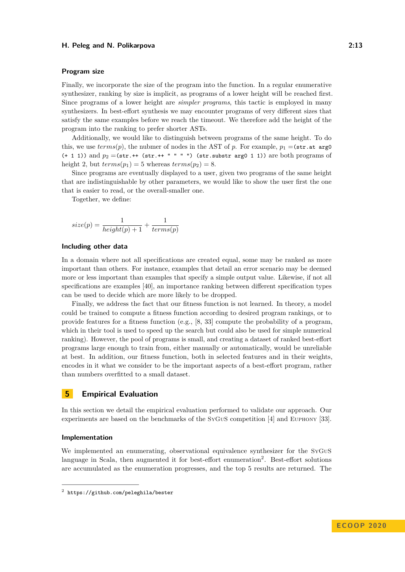#### **Program size**

Finally, we incorporate the size of the program into the function. In a regular enumerative synthesizer, ranking by size is implicit, as programs of a lower height will be reached first. Since programs of a lower height are *simpler programs*, this tactic is employed in many synthesizers. In best-effort synthesis we may encounter programs of very different sizes that satisfy the same examples before we reach the timeout. We therefore add the height of the program into the ranking to prefer shorter ASTs.

Additionally, we would like to distinguish between programs of the same height. To do this, we use  $terms(p)$ , the nubmer of nodes in the AST of p. For example,  $p_1 = (str.at \text{ arg}0)$  $(+ 1 1)$ ) and  $p_2 = (str.++ (str.++ " " " " ") (str. substr arg0 1 1))$  are both programs of height 2, but  $terms(p_1) = 5$  whereas  $terms(p_2) = 8$ .

Since programs are eventually displayed to a user, given two programs of the same height that are indistinguishable by other parameters, we would like to show the user first the one that is easier to read, or the overall-smaller one.

Together, we define:

$$
size(p) = \frac{1}{height(p) + 1} + \frac{1}{terms(p)}
$$

#### **Including other data**

In a domain where not all specifications are created equal, some may be ranked as more important than others. For instance, examples that detail an error scenario may be deemed more or less important than examples that specify a simple output value. Likewise, if not all specifications are examples [\[40\]](#page-28-7), an importance ranking between different specification types can be used to decide which are more likely to be dropped.

Finally, we address the fact that our fitness function is not learned. In theory, a model could be trained to compute a fitness function according to desired program rankings, or to provide features for a fitness function (e.g., [\[8,](#page-25-6) [33\]](#page-27-8) compute the probability of a program, which in their tool is used to speed up the search but could also be used for simple numerical ranking). However, the pool of programs is small, and creating a dataset of ranked best-effort programs large enough to train from, either manually or automatically, would be unreliable at best. In addition, our fitness function, both in selected features and in their weights, encodes in it what we consider to be the important aspects of a best-effort program, rather than numbers overfitted to a small dataset.

# <span id="page-12-0"></span>**5 Empirical Evaluation**

In this section we detail the empirical evaluation performed to validate our approach. Our experiments are based on the benchmarks of the SyGuS competition [\[4\]](#page-25-3) and Euphony [\[33\]](#page-27-8).

#### **Implementation**

We implemented an enumerating, observational equivalence synthesizer for the SyGuS language in Scala, then augmented it for best-effort enumeration<sup>[2](#page-12-1)</sup>. Best-effort solutions are accumulated as the enumeration progresses, and the top 5 results are returned. The

<span id="page-12-1"></span> $^{\rm 2}$  <https://github.com/peleghila/bester>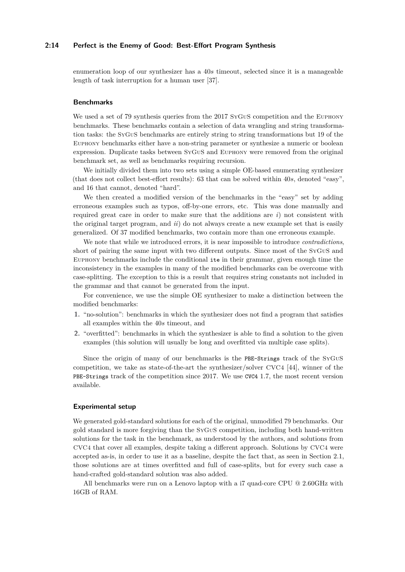#### **2:14 Perfect is the Enemy of Good: Best-Effort Program Synthesis**

enumeration loop of our synthesizer has a 40*s* timeout, selected since it is a manageable length of task interruption for a human user [\[37\]](#page-27-12).

## **Benchmarks**

We used a set of 79 synthesis queries from the 2017 SyGuS competition and the EUPHONY benchmarks. These benchmarks contain a selection of data wrangling and string transformation tasks: the SyGuS benchmarks are entirely string to string transformations but 19 of the Euphony benchmarks either have a non-string parameter or synthesize a numeric or boolean expression. Duplicate tasks between SyGuS and Euphony were removed from the original benchmark set, as well as benchmarks requiring recursion.

We initially divided them into two sets using a simple OE-based enumerating synthesizer (that does not collect best-effort results): 63 that can be solved within 40*s*, denoted "easy", and 16 that cannot, denoted "hard".

We then created a modified version of the benchmarks in the "easy" set by adding erroneous examples such as typos, off-by-one errors, etc. This was done manually and required great care in order to make sure that the additions are *i*) not consistent with the original target program, and *ii*) do not always create a new example set that is easily generalized. Of 37 modified benchmarks, two contain more than one erroneous example.

We note that while we introduced errors, it is near impossible to introduce *contradictions*, short of pairing the same input with two different outputs. Since most of the SyGuS and Euphony benchmarks include the conditional ite in their grammar, given enough time the inconsistency in the examples in many of the modified benchmarks can be overcome with case-splitting. The exception to this is a result that requires string constants not included in the grammar and that cannot be generated from the input.

For convenience, we use the simple OE synthesizer to make a distinction between the modified benchmarks:

- **1.** "no-solution": benchmarks in which the synthesizer does not find a program that satisfies all examples within the 40*s* timeout, and
- **2.** "overfitted": benchmarks in which the synthesizer is able to find a solution to the given examples (this solution will usually be long and overfitted via multiple case splits).

Since the origin of many of our benchmarks is the PBE-Strings track of the SyGuS competition, we take as state-of-the-art the synthesizer/solver CVC4 [\[44\]](#page-28-5), winner of the PBE-Strings track of the competition since 2017. We use CVC4 1.7, the most recent version available.

#### **Experimental setup**

We generated gold-standard solutions for each of the original, unmodified 79 benchmarks. Our gold standard is more forgiving than the SyGuS competition, including both hand-written solutions for the task in the benchmark, as understood by the authors, and solutions from CVC4 that cover all examples, despite taking a different approach. Solutions by CVC4 were accepted as-is, in order to use it as a baseline, despite the fact that, as seen in Section [2.1,](#page-3-1) those solutions are at times overfitted and full of case-splits, but for every such case a hand-crafted gold-standard solution was also added.

All benchmarks were run on a Lenovo laptop with a i7 quad-core CPU @ 2.60GHz with 16GB of RAM.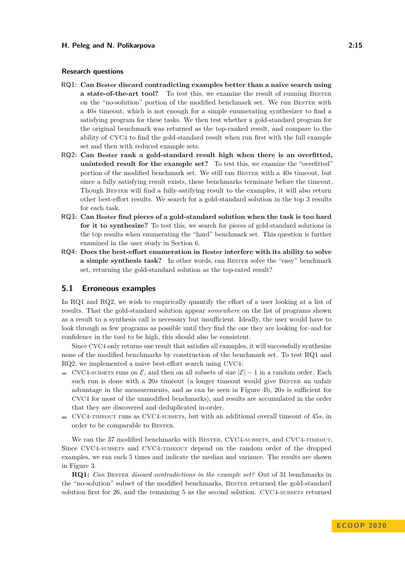#### **Research questions**

- <span id="page-14-0"></span>**RQ1: Can Bester discard contradicting examples better than a naive search using a state-of-the-art tool?** To test this, we examine the result of running BESTER on the "no-solution" portion of the modified benchmark set. We run Bester with a 40*s* timeout, which is not enough for a simple enumerating synthesizer to find a satisfying program for these tasks. We then test whether a gold-standard program for the original benchmark was returned as the top-ranked result, and compare to the ability of CVC4 to find the gold-standard result when run first with the full example set and then with reduced example sets.
- <span id="page-14-1"></span>**RQ2: Can Bester rank a gold-standard result high when there is an overfitted, uninteded result for the example set?** To test this, we examine the "overfitted" portion of the modified benchmark set. We still ran Bester with a 40*s* timeout, but since a fully satisfying result exists, these benchmarks terminate before the timeout. Though Bester will find a fully-satifying result to the examples, it will also return other best-effort results. We search for a gold-standard solution in the top 3 results for each task.
- <span id="page-14-2"></span>**RQ3: Can Bester find pieces of a gold-standard solution when the task is too hard for it to synthesize?** To test this, we search for pieces of gold-standard solutions in the top results when enumerating the "hard" benchmark set. This question is further examined in the user study in Section [6.](#page-19-0)
- <span id="page-14-3"></span>**RQ4: Does the best-effort enumeration in Bester interfere with its ability to solve a simple synthesis task?** In other words, can BESTER solve the "easy" benchmark set, returning the gold-standard solution as the top-rated result?

## **5.1 Erroneous examples**

In R[Q1](#page-14-0) and R[Q2,](#page-14-1) we wish to empirically quantify the effort of a user looking at a list of results. That the gold-standard solution appear *somewhere* on the list of programs shown as a result to a synthesis call is necessary but insufficient. Ideally, the user would have to look through as few programs as possible until they find the one they are looking for–and for confidence in the tool to be high, this should also be consistent.

Since CVC4 only returns one result that satisfies all examples, it will successfully synthesize none of the modified benchmarks by construction of the benchmark set. To test R[Q1](#page-14-0) and R[Q2,](#page-14-1) we implemented a naive best-effort search using CVC4:

- $\blacksquare$  CVC4-subsets runs on  $\mathcal{E}$ , and then on all subsets of size  $|\mathcal{E}|-1$  in a random order. Each such run is done with a 20s timeout (a longer timeout would give Bester an unfair advantage in the measurements, and as can be seen in Figure [4b,](#page-18-0) 20*s* is sufficient for CVC4 for most of the unmodified benchmarks), and results are accumulated in the order that they are discovered and deduplicated in-order.
- $\blacksquare$  CVC4-TIMEOUT runs as CVC4-subsets, but with an additional overall timeout of  $45s$ , in order to be comparable to Bester.

We ran the 37 modified benchmarks with BESTER, CVC4-SUBSETS, and CVC4-TIMEOUT. Since CVC4-subsets and CVC4-timeout depend on the random order of the dropped examples, we ran each 5 times and indicate the median and variance. The results are shown in Figure [3.](#page-15-0)

**R[Q1:](#page-14-0)** *Can* Bester *discard contradictions in the example set?* Out of 31 benchmarks in the "no-solution" subset of the modified benchmarks, Bester returned the gold-standard solution first for 26, and the remaining 5 as the second solution. CVC4-subsets returned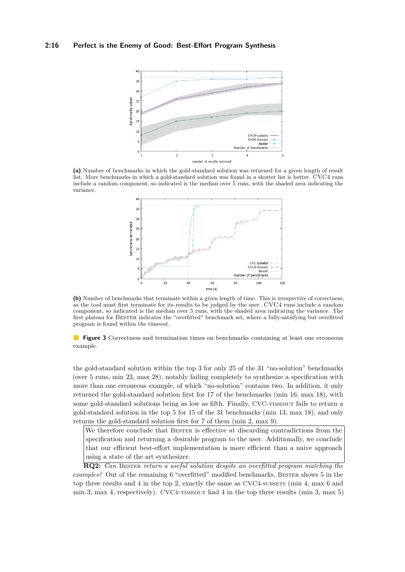## <span id="page-15-0"></span>**2:16 Perfect is the Enemy of Good: Best-Effort Program Synthesis**



**(a)** Number of benchmarks in which the gold-standard solution was returned for a given length of result list. More benchmarks in which a gold-standard solution was found in a shorter list is better. CVC4 runs include a random component, so indicated is the median over 5 runs, with the shaded area indicating the variance.



**(b)** Number of benchmarks that terminate within a given length of time. This is irrespective of correctness, as the tool must first terminate for its results to be judged by the user. CVC4 runs include a random component, so indicated is the median over 5 runs, with the shaded area indicating the variance. The first plateau for Bester indicates the "overfitted" benchmark set, where a fully-satisfying but overfitted program is found within the timeout.

**Figure 3** Correctness and termination times on benchmarks containing at least one erroneous example.

the gold-standard solution within the top 3 for only 25 of the 31 "no-solution" benchmarks (over 5 runs, min 23, max 28), notably failing completely to synthesize a specification with more than one erroneous example, of which "no-solution" contains two. In addition, it only returned the gold-standard solution first for 17 of the benchmarks (min 16, max 18), with some gold-standard solutions being as low as fifth. Finally, CVC-TIMEOUT fails to return a gold-standard solution in the top 5 for 15 of the 31 benchmarks (min 13, max 18), and only returns the gold-standard solution first for 7 of them (min 2, max 9).

We therefore conclude that BESTER is effective at discarding contradictions from the specification and returning a desirable program to the user. Additionally, we conclude that our efficient best-effort implementation is more efficient than a naive approach using a state of the art synthesizer.

**R[Q2:](#page-14-1)** *Can* Bester *return a useful solution despite an overfitted program matching the examples?* Out of the remaining 6 "overfitted" modified benchmarks, Bester shows 5 in the top three results and  $4$  in the top 2, exactly the same as CVC4-subsets (min  $4$ , max  $6$  and min 3, max 4, respectively). CVC4- $\tau$ IMEOUT had 4 in the top three results (min 3, max 5)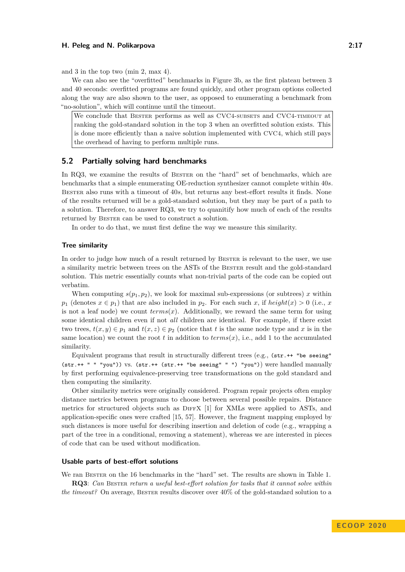and 3 in the top two (min 2, max 4).

We can also see the "overfitted" benchmarks in Figure [3b,](#page-15-0) as the first plateau between 3 and 40 seconds: overfitted programs are found quickly, and other program options collected along the way are also shown to the user, as opposed to enumerating a benchmark from "no-solution", which will continue until the timeout.

We conclude that BESTER performs as well as CVC4-SUBSETS and CVC4-TIMEOUT at ranking the gold-standard solution in the top 3 when an overfitted solution exists. This is done more efficiently than a naive solution implemented with CVC4, which still pays the overhead of having to perform multiple runs.

## **5.2 Partially solving hard benchmarks**

In R[Q3,](#page-14-2) we examine the results of BESTER on the "hard" set of benchmarks, which are benchmarks that a simple enumerating OE-reduction synthesizer cannot complete within 40*s*. Bester also runs with a timeout of 40*s*, but returns any best-effort results it finds. None of the results returned will be a gold-standard solution, but they may be part of a path to a solution. Therefore, to answer R[Q3,](#page-14-2) we try to quanitify how much of each of the results returned by BESTER can be used to construct a solution.

In order to do that, we must first define the way we measure this similarity.

#### **Tree similarity**

In order to judge how much of a result returned by BESTER is relevant to the user, we use a similarity metric between trees on the ASTs of the Bester result and the gold-standard solution. This metric essentially counts what non-trivial parts of the code can be copied out verbatim.

When computing  $s(p_1, p_2)$ , we look for maximal sub-expressions (or subtrees) *x* within *p*<sub>1</sub> (denotes  $x \in p_1$ ) that are also included in *p*<sub>2</sub>. For each such *x*, if *height*(*x*) > 0 (i.e., *x* is not a leaf node) we count  $terms(x)$ . Additionally, we reward the same term for using some identical children even if not *all* children are identical. For example, if there exist two trees,  $t(x, y) \in p_1$  and  $t(x, z) \in p_2$  (notice that *t* is the same node type and *x* is in the same location) we count the root  $t$  in addition to  $terms(x)$ , i.e., add 1 to the accumulated similarity.

Equivalent programs that result in structurally different trees (e.g., (str.++ "be seeing" (str.++ " " "you")) vs. (str.++ (str.++ "be seeing" " ") "you")) were handled manually by first performing equivalence-preserving tree transformations on the gold standard and then computing the similarity.

Other similarity metrics were originally considered. Program repair projects often employ distance metrics between programs to choose between several possible repairs. Distance metrics for structured objects such as DiffX [\[1\]](#page-25-7) for XMLs were applied to ASTs, and application-specific ones were crafted [\[15,](#page-26-6) [57\]](#page-29-2). However, the fragment mapping employed by such distances is more useful for describing insertion and deletion of code (e.g., wrapping a part of the tree in a conditional, removing a statement), whereas we are interested in pieces of code that can be used without modification.

#### **Usable parts of best-effort solutions**

We ran BESTER on the 16 benchmarks in the "hard" set. The results are shown in Table [1.](#page-17-0)

**R[Q3](#page-14-2)**: *Can* Bester *return a useful best-effort solution for tasks that it cannot solve within the timeout?* On average, BESTER results discover over  $40\%$  of the gold-standard solution to a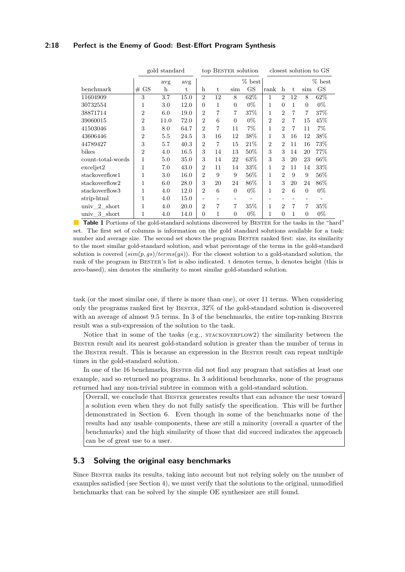## **2:18 Perfect is the Enemy of Good: Best-Effort Program Synthesis**

<span id="page-17-0"></span>

|                   |                | gold standard |      |                |                |                | top BESTER solution |                |                |    |          | closest solution to GS |
|-------------------|----------------|---------------|------|----------------|----------------|----------------|---------------------|----------------|----------------|----|----------|------------------------|
|                   |                | avg           | avg  |                |                |                | % best              |                |                |    |          | % best                 |
| benchmark         | # GS           | $\mathbf{h}$  | t    | h              | t.             | sim            | GS                  | rank           | h              | t. | sim      | GS                     |
| 11604909          | 3              | 3.7           | 15.0 | $\overline{2}$ | 12             | 8              | 62%                 | 1              | $\overline{2}$ | 12 | 8        | 62\%                   |
| 30732554          | 1              | $3.0\,$       | 12.0 | $\Omega$       | 1              | $\theta$       | $0\%$               | 1              | $\Omega$       |    | $\Omega$ | $0\%$                  |
| 38871714          | $\overline{2}$ | 6.0           | 19.0 | $\overline{2}$ | $\overline{7}$ | 7              | $37\%$              | $\mathbf{1}$   | $\overline{2}$ | 7  | 7        | 37%                    |
| 39060015          | $\overline{2}$ | 11.0          | 72.0 | $\overline{2}$ | 6              | $\Omega$       | $0\%$               | $\overline{2}$ | $\overline{2}$ | 7  | 15       | 45\%                   |
| 41503046          | 3              | 8.0           | 64.7 | $\overline{2}$ | $\overline{7}$ | 11             | $7\%$               | 1              | $\overline{2}$ | 7  | 11       | $7\%$                  |
| 43606446          | $\overline{2}$ | 5.5           | 24.5 | 3              | 16             | 12             | 38%                 | $\mathbf 1$    | 3              | 16 | 12       | 38\%                   |
| 44789427          | 3              | 5.7           | 40.3 | $\overline{2}$ | 7              | 15             | 21%                 | $\overline{2}$ | $\overline{2}$ | 11 | 16       | 73%                    |
| bikes             | $\overline{2}$ | 4.0           | 16.5 | 3              | 14             | 13             | 50%                 | 3              | 3              | 14 | 20       | 77\%                   |
| count-total-words | 1              | 5.0           | 35.0 | 3              | 14             | 22             | 63\%                | 3              | 3              | 20 | 23       | 66\%                   |
| exceljet2         | 1              | 7.0           | 43.0 | $\overline{2}$ | 11             | 14             | $33\%$              | 1              | $\overline{2}$ | 11 | 14       | 33\%                   |
| stackoverflow1    | 1              | $3.0\,$       | 16.0 | $\overline{2}$ | 9              | 9              | 56%                 | 1              | $\overline{2}$ | 9  | 9        | 56%                    |
| stackoverflow2    | 1              | 6.0           | 28.0 | 3              | 20             | 24             | $86\%$              | 1              | 3              | 20 | 24       | 86\%                   |
| stackoverflow3    | 1              | 4.0           | 12.0 | $\overline{2}$ | 6              | $\overline{0}$ | $0\%$               | 1              | $\overline{2}$ | 6  | $\Omega$ | $0\%$                  |
| strip-html        | 1              | 4.0           | 15.0 |                |                |                |                     |                |                |    |          |                        |
| univ 2 short      | 1              | 4.0           | 20.0 | $\overline{2}$ | $\overline{7}$ | 7              | $35\%$              | $\mathbf{1}$   | $\overline{2}$ | 7  | 7        | 35%                    |
| univ 3 short      | 1              | 4.0           | 14.0 | $\Omega$       | 1              | $\overline{0}$ | $0\%$               |                | $\Omega$       |    | $\Omega$ | $0\%$                  |

**Table 1** Portions of the gold-standard solutions discovered by BESTER for the tasks in the "hard" set. The first set of columns is information on the gold standard solutions available for a task: number and average size. The second set shows the program BESTER ranked first: size, its similarity to the most similar gold-standard solution, and what percentage of the terms in the gold-standard solution is covered (*sim*(*p, gs*)*/terms*(*gs*)). For the closest solution to a gold-standard solution, the rank of the program in BESTER's list is also indicated. t denotes terms, h denotes height (this is zero-based), sim denotes the similarity to most similar gold-standard solution.

task (or the most similar one, if there is more than one), or over 11 terms. When considering only the programs ranked first by Bester, 32% of the gold-standard solution is discovered with an average of almost 9.5 terms. In 3 of the benchmarks, the entire top-ranking BESTER result was a sub-expression of the solution to the task.

Notice that in some of the tasks (e.g.,  $STACKOVERLOW2)$ ) the similarity between the Bester result and its nearest gold-standard solution is greater than the number of terms in the Bester result. This is because an expression in the Bester result can repeat multiple times in the gold-standard solution.

In one of the 16 benchmarks, BESTER did not find any program that satisfies at least one example, and so returned no programs. In 3 additional benchmarks, none of the programs returned had any non-trivial subtree in common with a gold-standard solution.

Overall, we conclude that Bester generates results that can advance the uesr toward a solution even when they do not fully satisfy the specification. This will be further demonstrated in Section [6.](#page-19-0) Even though in some of the benchmarks none of the results had any usable components, these are still a minority (overall a quarter of the benchmarks) and the high similarity of those that did succeed indicates the approach can be of great use to a user.

# **5.3 Solving the original easy benchmarks**

Since Bester ranks its results, taking into account but not relying solely on the number of examples satisfied (see Section [4\)](#page-10-0), we must verify that the solutions to the original, unmodified benchmarks that can be solved by the simple OE synthesizer are still found.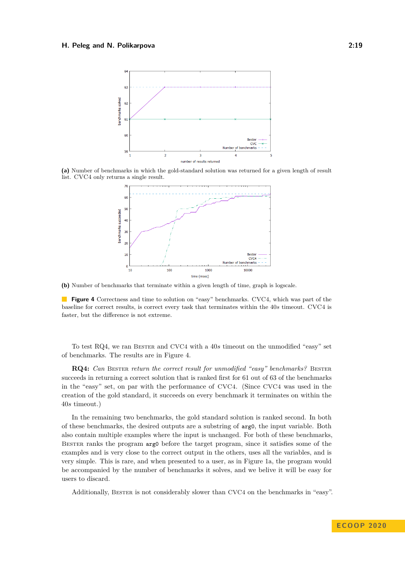<span id="page-18-0"></span>

**(a)** Number of benchmarks in which the gold-standard solution was returned for a given length of result list. CVC4 only returns a single result.



**(b)** Number of benchmarks that terminate within a given length of time, graph is logscale.

**Figure 4** Correctness and time to solution on "easy" benchmarks. CVC4, which was part of the baseline for correct results, is correct every task that terminates within the 40*s* timeout. CVC4 is faster, but the difference is not extreme.

To test R[Q4,](#page-14-3) we ran Bester and CVC4 with a 40*s* timeout on the unmodified "easy" set of benchmarks. The results are in Figure [4.](#page-18-0)

**R[Q4:](#page-14-3)** *Can* BESTER *return the correct result for unmodified "easy" benchmarks?* BESTER succeeds in returning a correct solution that is ranked first for 61 out of 63 of the benchmarks in the "easy" set, on par with the performance of CVC4. (Since CVC4 was used in the creation of the gold standard, it succeeds on every benchmark it terminates on within the 40*s* timeout.)

In the remaining two benchmarks, the gold standard solution is ranked second. In both of these benchmarks, the desired outputs are a substring of arg0, the input variable. Both also contain multiple examples where the input is unchanged. For both of these benchmarks, Bester ranks the program arg0 before the target program, since it satisfies some of the examples and is very close to the correct output in the others, uses all the variables, and is very simple. This is rare, and when presented to a user, as in Figure [1a,](#page-3-0) the program would be accompanied by the number of benchmarks it solves, and we belive it will be easy for users to discard.

Additionally, Bester is not considerably slower than CVC4 on the benchmarks in "easy".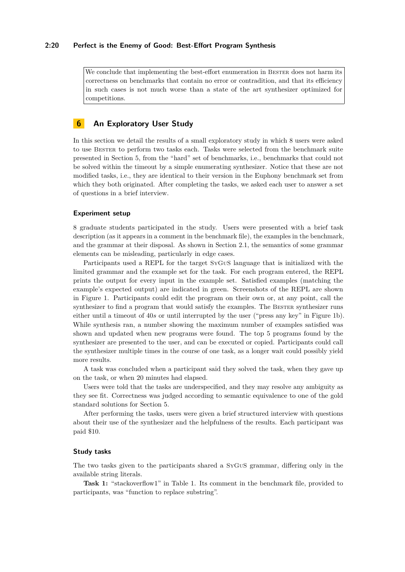## **2:20 Perfect is the Enemy of Good: Best-Effort Program Synthesis**

We conclude that implementing the best-effort enumeration in BESTER does not harm its correctness on benchmarks that contain no error or contradition, and that its efficiency in such cases is not much worse than a state of the art synthesizer optimized for competitions.

# <span id="page-19-0"></span>**6 An Exploratory User Study**

In this section we detail the results of a small exploratory study in which 8 users were asked to use Bester to perform two tasks each. Tasks were selected from the benchmark suite presented in Section [5,](#page-12-0) from the "hard" set of benchmarks, i.e., benchmarks that could not be solved within the timeout by a simple enumerating synthesizer. Notice that these are not modified tasks, i.e., they are identical to their version in the Euphony benchmark set from which they both originated. After completing the tasks, we asked each user to answer a set of questions in a brief interview.

#### **Experiment setup**

8 graduate students participated in the study. Users were presented with a brief task description (as it appears in a comment in the benchmark file), the examples in the benchmark, and the grammar at their disposal. As shown in Section [2.1,](#page-3-1) the semantics of some grammar elements can be misleading, particularly in edge cases.

Participants used a REPL for the target SyGuS language that is initialized with the limited grammar and the example set for the task. For each program entered, the REPL prints the output for every input in the example set. Satisfied examples (matching the example's expected output) are indicated in green. Screenshots of the REPL are shown in Figure [1.](#page-3-0) Participants could edit the program on their own or, at any point, call the synthesizer to find a program that would satisfy the examples. The BESTER synthesizer runs either until a timeout of 40*s* or until interrupted by the user ("press any key" in Figure [1b\)](#page-3-0). While synthesis ran, a number showing the maximum number of examples satisfied was shown and updated when new programs were found. The top 5 programs found by the synthesizer are presented to the user, and can be executed or copied. Participants could call the synthesizer multiple times in the course of one task, as a longer wait could possibly yield more results.

A task was concluded when a participant said they solved the task, when they gave up on the task, or when 20 minutes had elapsed.

Users were told that the tasks are underspecified, and they may resolve any ambiguity as they see fit. Correctness was judged according to semantic equivalence to one of the gold standard solutions for Section [5.](#page-12-0)

After performing the tasks, users were given a brief structured interview with questions about their use of the synthesizer and the helpfulness of the results. Each participant was paid \$10.

#### **Study tasks**

The two tasks given to the participants shared a SyGuS grammar, differing only in the available string literals.

**Task 1:** "stackoverflow1" in Table [1.](#page-17-0) Its comment in the benchmark file, provided to participants, was "function to replace substring".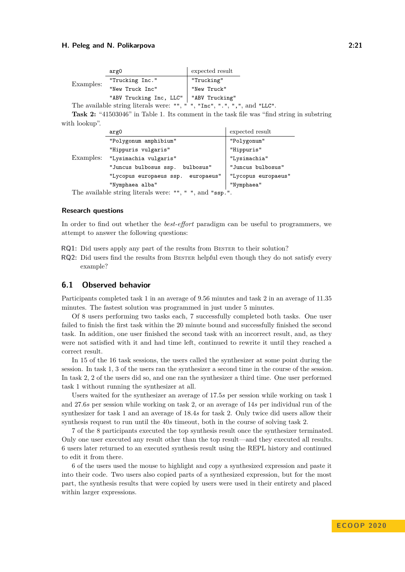|           | arg0                                     | expected result                                                           |
|-----------|------------------------------------------|---------------------------------------------------------------------------|
| Examples: | "Trucking Inc."                          | "Trucking"                                                                |
|           | "New Truck Inc"                          | "New Truck"                                                               |
|           | "ABV Trucking Inc, LLC"   "ABV Trucking" |                                                                           |
|           |                                          | The available string literals were: "", " ", "Inc", ".", ", ", and "LLC". |

**Task 2:** "41503046" in Table [1.](#page-17-0) Its comment in the task file was "find string in substring with lookup".

|           | arg0                                                  | expected result     |  |  |
|-----------|-------------------------------------------------------|---------------------|--|--|
| Examples: | "Polygonum amphibium"                                 | "Polygonum"         |  |  |
|           | "Hippuris vulgaris"                                   | "Hippuris"          |  |  |
|           | "Lysimachia vulgaris"                                 | "Lysimachia"        |  |  |
|           | "Juncus bulbosus ssp.<br>bulbosus"                    | "Juncus bulbosus"   |  |  |
|           | "Lycopus europaeus ssp. europaeus"                    | "Lycopus europaeus" |  |  |
|           | "Nymphaea alba"                                       | "Nymphaea"          |  |  |
|           | The excitable strips literate were un un and used the |                     |  |  |

The available string literals were: "", " ", and "ssp.".

#### **Research questions**

In order to find out whether the *best-effort* paradigm can be useful to programmers, we attempt to answer the following questions:

- <span id="page-20-0"></span>**RQ1:** Did users apply any part of the results from BESTER to their solution?
- <span id="page-20-1"></span>**RQ2:** Did users find the results from BESTER helpful even though they do not satisfy every example?

## **6.1 Observed behavior**

Participants completed task 1 in an average of 9*.*56 minutes and task 2 in an average of 11*.*35 minutes. The fastest solution was programmed in just under 5 minutes.

Of 8 users performing two tasks each, 7 successfully completed both tasks. One user failed to finish the first task within the 20 minute bound and successfully finished the second task. In addition, one user finished the second task with an incorrect result, and, as they were not satisfied with it and had time left, continued to rewrite it until they reached a correct result.

In 15 of the 16 task sessions, the users called the synthesizer at some point during the session. In task 1, 3 of the users ran the synthesizer a second time in the course of the session. In task 2, 2 of the users did so, and one ran the synthesizer a third time. One user performed task 1 without running the synthesizer at all.

Users waited for the synthesizer an average of 17*.*5*s* per session while working on task 1 and 27*.*6*s* per session while working on task 2, or an average of 14*s* per individual run of the synthesizer for task 1 and an average of 18*.*4*s* for task 2. Only twice did users allow their synthesis request to run until the 40*s* timeout, both in the course of solving task 2.

7 of the 8 participants executed the top synthesis result once the synthesizer terminated. Only one user executed any result other than the top result—and they executed all results. 6 users later returned to an executed synthesis result using the REPL history and continued to edit it from there.

6 of the users used the mouse to highlight and copy a synthesized expression and paste it into their code. Two users also copied parts of a synthesized expression, but for the most part, the synthesis results that were copied by users were used in their entirety and placed within larger expressions.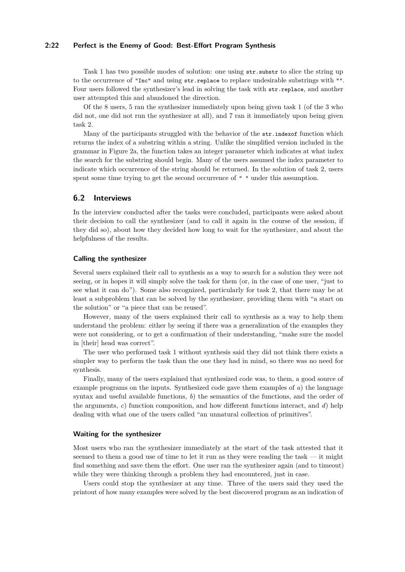## **2:22 Perfect is the Enemy of Good: Best-Effort Program Synthesis**

Task 1 has two possible modes of solution: one using str.substr to slice the string up to the occurrence of "Inc" and using str.replace to replace undesirable substrings with "". Four users followed the synthesizer's lead in solving the task with str.replace, and another user attempted this and abandoned the direction.

Of the 8 users, 5 ran the synthesizer immediately upon being given task 1 (of the 3 who did not, one did not run the synthesizer at all), and 7 ran it immediately upon being given task 2.

Many of the participants struggled with the behavior of the str. index of function which returns the index of a substring within a string. Unlike the simplified version included in the grammar in Figure [2a,](#page-6-0) the function takes an integer parameter which indicates at what index the search for the substring should begin. Many of the users assumed the index parameter to indicate which occurrence of the string should be returned. In the solution of task 2, users spent some time trying to get the second occurrence of  $" "$  under this assumption.

## **6.2 Interviews**

In the interview conducted after the tasks were concluded, participants were asked about their decision to call the synthesizer (and to call it again in the course of the session, if they did so), about how they decided how long to wait for the synthesizer, and about the helpfulness of the results.

## **Calling the synthesizer**

Several users explained their call to synthesis as a way to search for a solution they were not seeing, or in hopes it will simply solve the task for them (or, in the case of one user, "just to see what it can do"). Some also recognized, particularly for task 2, that there may be at least a subproblem that can be solved by the synthesizer, providing them with "a start on the solution" or "a piece that can be reused".

However, many of the users explained their call to synthesis as a way to help them understand the problem: either by seeing if there was a generalization of the examples they were not considering, or to get a confirmation of their understanding, "make sure the model in [their] head was correct".

The user who performed task 1 without synthesis said they did not think there exists a simpler way to perform the task than the one they had in mind, so there was no need for synthesis.

Finally, many of the users explained that synthesized code was, to them, a good source of example programs on the inputs. Synthesized code gave them examples of *a*) the language syntax and useful available functions, *b*) the semantics of the functions, and the order of the arguments, *c*) function composition, and how different functions interact, and *d*) help dealing with what one of the users called "an unnatural collection of primitives".

#### **Waiting for the synthesizer**

Most users who ran the synthesizer immediately at the start of the task attested that it seemed to them a good use of time to let it run as they were reading the task — it might find something and save them the effort. One user ran the synthesizer again (and to timeout) while they were thinking through a problem they had encountered, just in case.

Users could stop the synthesizer at any time. Three of the users said they used the printout of how many examples were solved by the best discovered program as an indication of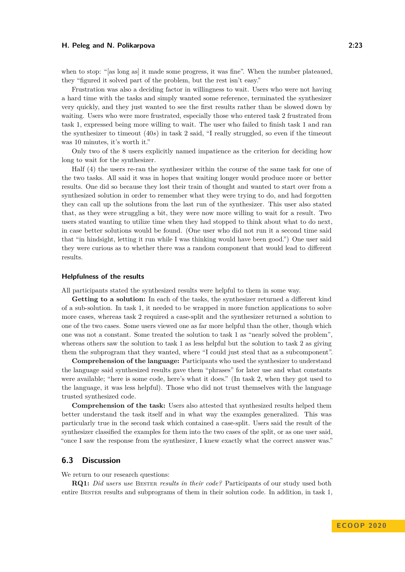when to stop: "[as long as] it made some progress, it was fine". When the number plateaued, they "figured it solved part of the problem, but the rest isn't easy."

Frustration was also a deciding factor in willingness to wait. Users who were not having a hard time with the tasks and simply wanted some reference, terminated the synthesizer very quickly, and they just wanted to see the first results rather than be slowed down by waiting. Users who were more frustrated, especially those who entered task 2 frustrated from task 1, expressed being more willing to wait. The user who failed to finish task 1 and ran the synthesizer to timeout (40*s*) in task 2 said, "I really struggled, so even if the timeout was 10 minutes, it's worth it."

Only two of the 8 users explicitly named impatience as the criterion for deciding how long to wait for the synthesizer.

Half (4) the users re-ran the synthesizer within the course of the same task for one of the two tasks. All said it was in hopes that waiting longer would produce more or better results. One did so because they lost their train of thought and wanted to start over from a synthesized solution in order to remember what they were trying to do, and had forgotten they can call up the solutions from the last run of the synthesizer. This user also stated that, as they were struggling a bit, they were now more willing to wait for a result. Two users stated wanting to utilize time when they had stopped to think about what to do next, in case better solutions would be found. (One user who did not run it a second time said that "in hindsight, letting it run while I was thinking would have been good.") One user said they were curious as to whether there was a random component that would lead to different results.

#### **Helpfulness of the results**

All participants stated the synthesized results were helpful to them in some way.

**Getting to a solution:** In each of the tasks, the synthesizer returned a different kind of a sub-solution. In task 1, it needed to be wrapped in more function applications to solve more cases, whereas task 2 required a case-split and the synthesizer returned a solution to one of the two cases. Some users viewed one as far more helpful than the other, though which one was not a constant. Some treated the solution to task 1 as "nearly solved the problem", whereas others saw the solution to task 1 as less helpful but the solution to task 2 as giving them the subprogram that they wanted, where "I could just steal that as a subcomponent".

**Comprehension of the language:** Participants who used the synthesizer to understand the language said synthesized results gave them "phrases" for later use and what constants were available; "here is some code, here's what it does." (In task 2, when they got used to the language, it was less helpful). Those who did not trust themselves with the language trusted synthesized code.

**Comprehension of the task:** Users also attested that synthesized results helped them better understand the task itself and in what way the examples generalized. This was particularly true in the second task which contained a case-split. Users said the result of the synthesizer classified the examples for them into the two cases of the split, or as one user said, "once I saw the response from the synthesizer, I knew exactly what the correct answer was."

# **6.3 Discussion**

We return to our research questions:

**R[Q1:](#page-20-0)** *Did users use* Bester *results in their code?* Participants of our study used both entire BESTER results and subprograms of them in their solution code. In addition, in task 1,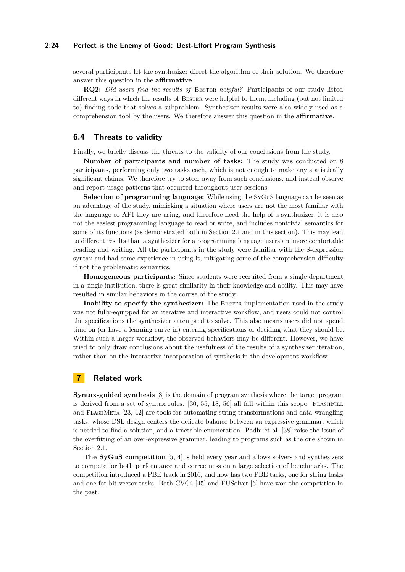## **2:24 Perfect is the Enemy of Good: Best-Effort Program Synthesis**

several participants let the synthesizer direct the algorithm of their solution. We therefore answer this question in the **affirmative**.

**R[Q2:](#page-20-1)** *Did users find the results of* Bester *helpful?* Participants of our study listed different ways in which the results of BESTER were helpful to them, including (but not limited to) finding code that solves a subproblem. Synthesizer results were also widely used as a comprehension tool by the users. We therefore answer this question in the **affirmative**.

## **6.4 Threats to validity**

Finally, we briefly discuss the threats to the validity of our conclusions from the study.

**Number of participants and number of tasks:** The study was conducted on 8 participants, performing only two tasks each, which is not enough to make any statistically significant claims. We therefore try to steer away from such conclusions, and instead observe and report usage patterns that occurred throughout user sessions.

**Selection of programming language:** While using the SyGuS language can be seen as an advantage of the study, mimicking a situation where users are not the most familiar with the language or API they are using, and therefore need the help of a synthesizer, it is also not the easiest programming language to read or write, and includes nontrivial semantics for some of its functions (as demonstrated both in Section [2.1](#page-3-1) and in this section). This may lead to different results than a synthesizer for a programming language users are more comfortable reading and writing. All the participants in the study were familiar with the S-expression syntax and had some experience in using it, mitigating some of the comprehension difficulty if not the problematic semantics.

**Homogeneous participants:** Since students were recruited from a single department in a single institution, there is great similarity in their knowledge and ability. This may have resulted in similar behaviors in the course of the study.

**Inability to specify the synthesizer:** The BESTER implementation used in the study was not fully-equipped for an iterative and interactive workflow, and users could not control the specifications the synthesizer attempted to solve. This also means users did not spend time on (or have a learning curve in) entering specifications or deciding what they should be. Within such a larger workflow, the observed behaviors may be different. However, we have tried to only draw conclusions about the usefulness of the results of a synthesizer iteration, rather than on the interactive incorporation of synthesis in the development workflow.

# **7 Related work**

**Syntax-guided synthesis** [\[3\]](#page-25-0) is the domain of program synthesis where the target program is derived from a set of syntax rules.  $[30, 55, 18, 56]$  $[30, 55, 18, 56]$  $[30, 55, 18, 56]$  $[30, 55, 18, 56]$  $[30, 55, 18, 56]$  $[30, 55, 18, 56]$  $[30, 55, 18, 56]$  all fall within this scope. FLASHFILL and FLASHMETA [\[23,](#page-26-4) [42\]](#page-28-8) are tools for automating string transformations and data wrangling tasks, whose DSL design centers the delicate balance between an expressive grammar, which is needed to find a solution, and a tractable enumeration. Padhi et al. [\[38\]](#page-27-14) raise the issue of the overfitting of an over-expressive grammar, leading to programs such as the one shown in Section [2.1.](#page-3-1)

**The SyGuS competition** [\[5,](#page-25-4) [4\]](#page-25-3) is held every year and allows solvers and synthesizers to compete for both performance and correctness on a large selection of benchmarks. The competition introduced a PBE track in 2016, and now has two PBE tacks, one for string tasks and one for bit-vector tasks. Both CVC4 [\[45\]](#page-28-9) and EUSolver [\[6\]](#page-25-5) have won the competition in the past.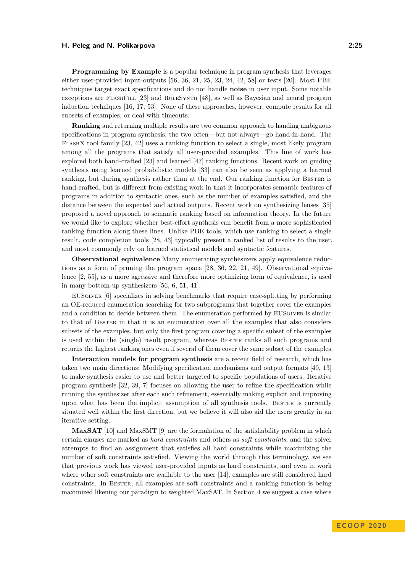**Programming by Example** is a popular technique in program synthesis that leverages either user-provided input-outputs [\[56,](#page-29-0) [36,](#page-27-1) [21,](#page-26-1) [25,](#page-27-2) [23,](#page-26-4) [24,](#page-27-0) [42,](#page-28-8) [58\]](#page-29-3) or tests [\[20\]](#page-26-2). Most PBE techniques target exact specifications and do not handle **noise** in user input. Some notable exceptions are FlashFill [\[23\]](#page-26-4) and RuleSynth [\[48\]](#page-28-10), as well as Bayesian and neural program induction techniques [\[16,](#page-26-8) [17,](#page-26-9) [53\]](#page-28-11). None of these approaches, however, compute results for all subsets of examples, or deal with timeouts.

**Ranking** and returning multiple results are two common approach to handing ambiguous specifications in program synthesis; the two often—but not always—go hand-in-hand. The FlashX tool family [\[23,](#page-26-4) [42\]](#page-28-8) uses a ranking function to select a single, most likely program among all the programs that satisfy all user-provided examples. This line of work has explored both hand-crafted [\[23\]](#page-26-4) and learned [\[47\]](#page-28-12) ranking functions. Recent work on guiding synthesis using learned probabilistic models [\[33\]](#page-27-8) can also be seen as applying a learned ranking, but during synthesis rather than at the end. Our ranking function for BESTER is hand-crafted, but is different from existing work in that it incorporates semantic features of programs in addition to syntactic ones, such as the number of examples satisfied, and the distance between the expected and actual outputs. Recent work on synthesizing lenses [\[35\]](#page-27-15) proposed a novel approach to semantic ranking based on information theory. In the future we would like to explore whether best-effort synthesis can benefit from a more sophisticated ranking function along these lines. Unlike PBE tools, which use ranking to select a single result, code completion tools [\[28,](#page-27-7) [43\]](#page-28-4) typically present a ranked list of results to the user, and most commonly rely on learned statistical models and syntactic features.

**Observational equivalence** Many enumerating synthesizers apply equivalence reductions as a form of pruning the program space [\[28,](#page-27-7) [36,](#page-27-1) [22,](#page-26-10) [21,](#page-26-1) [49\]](#page-28-13). Observational equivalence [\[2,](#page-25-2) [55\]](#page-28-3), as a more agressive and therefore more optimizing form of equivalence, is used in many bottom-up synthesizers [\[56,](#page-29-0) [6,](#page-25-5) [51,](#page-28-14) [41\]](#page-28-15).

EUSolver [\[6\]](#page-25-5) specializes in solving benchmarks that require case-splitting by performing an OE-reduced enumeration searching for two subprograms that together cover the examples and a condition to decide between them. The enumeration performed by EUSOLVER is similar to that of Bester in that it is an enumeration over all the examples that also considers subsets of the examples, but only the first program covering a specific subset of the examples is used within the (single) result program, whereas Bester ranks all such programs and returns the highest ranking ones even if several of them cover the same subset of the examples.

**Interaction models for program synthesis** are a recent field of research, which has taken two main directions: Modifying specification mechanisms and output formats [\[40,](#page-28-7) [13\]](#page-26-5) to make synthesis easier to use and better targeted to specific populations of users. Iterative program synthesis [\[32,](#page-27-5) [39,](#page-27-6) [7\]](#page-25-1) focuses on allowing the user to refine the specification while running the synthesizer after each such refinement, essentially making explicit and improving upon what has been the implicit assumption of all synthesis tools. Bester is currently situated well within the first direction, but we believe it will also aid the users greatly in an iterative setting.

**MaxSAT** [\[10\]](#page-26-11) and MaxSMT [\[9\]](#page-26-12) are the formulation of the satisfiability problem in which certain clauses are marked as *hard constraints* and others as *soft constraints*, and the solver attempts to find an assignment that satisfies all hard constraints while maximizing the number of soft constraints satisfied. Viewing the world through this terminology, we see that previous work has viewed user-provided inputs as hard constraints, and even in work where other soft constraints are available to the user [\[14\]](#page-26-13), examples are still considered hard constraints. In Bester, all examples are soft constraints and a ranking function is being maximized likening our paradigm to weighted MaxSAT. In Section [4](#page-10-0) we suggest a case where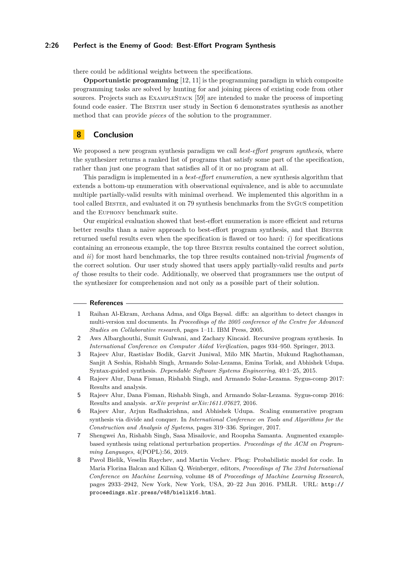## **2:26 Perfect is the Enemy of Good: Best-Effort Program Synthesis**

there could be additional weights between the specifications.

**Opportunistic programming** [\[12,](#page-26-14) [11\]](#page-26-0) is the programming paradigm in which composite programming tasks are solved by hunting for and joining pieces of existing code from other sources. Projects such as ExampleStack [\[59\]](#page-29-4) are intended to make the process of importing found code easier. The Bester user study in Section [6](#page-19-0) demonstrates synthesis as another method that can provide *pieces* of the solution to the programmer.

## **8 Conclusion**

We proposed a new program synthesis paradigm we call *best-effort program synthesis*, where the synthesizer returns a ranked list of programs that satisfy some part of the specification, rather than just one program that satisfies all of it or no program at all.

This paradigm is implemented in a *best-effort enumeration*, a new synthesis algorithm that extends a bottom-up enumeration with observational equivalence, and is able to accumulate multiple partially-valid results with minimal overhead. We implemented this algorithm in a tool called Bester, and evaluated it on 79 synthesis benchmarks from the SyGuS competition and the Euphony benchmark suite.

Our empirical evaluation showed that best-effort enumeration is more efficient and returns better results than a naive approach to best-effort program synthesis, and that BESTER returned useful results even when the specification is flawed or too hard: *i*) for specifications containing an erroneous example, the top three Bester results contained the correct solution, and *ii*) for most hard benchmarks, the top three results contained non-trivial *fragments* of the correct solution. Our user study showed that users apply partially-valid results and *parts of* those results to their code. Additionally, we observed that programmers use the output of the synthesizer for comprehension and not only as a possible part of their solution.

#### **References**

- <span id="page-25-7"></span>**1** Raihan Al-Ekram, Archana Adma, and Olga Baysal. diffx: an algorithm to detect changes in multi-version xml documents. In *Proceedings of the 2005 conference of the Centre for Advanced Studies on Collaborative research*, pages 1–11. IBM Press, 2005.
- <span id="page-25-2"></span>**2** Aws Albarghouthi, Sumit Gulwani, and Zachary Kincaid. Recursive program synthesis. In *International Conference on Computer Aided Verification*, pages 934–950. Springer, 2013.
- <span id="page-25-0"></span>**3** Rajeev Alur, Rastislav Bodik, Garvit Juniwal, Milo MK Martin, Mukund Raghothaman, Sanjit A Seshia, Rishabh Singh, Armando Solar-Lezama, Emina Torlak, and Abhishek Udupa. Syntax-guided synthesis. *Dependable Software Systems Engineering*, 40:1–25, 2015.
- <span id="page-25-3"></span>**4** Rajeev Alur, Dana Fisman, Rishabh Singh, and Armando Solar-Lezama. Sygus-comp 2017: Results and analysis.
- <span id="page-25-4"></span>**5** Rajeev Alur, Dana Fisman, Rishabh Singh, and Armando Solar-Lezama. Sygus-comp 2016: Results and analysis. *arXiv preprint arXiv:1611.07627*, 2016.
- <span id="page-25-5"></span>**6** Rajeev Alur, Arjun Radhakrishna, and Abhishek Udupa. Scaling enumerative program synthesis via divide and conquer. In *International Conference on Tools and Algorithms for the Construction and Analysis of Systems*, pages 319–336. Springer, 2017.
- <span id="page-25-1"></span>**7** Shengwei An, Rishabh Singh, Sasa Misailovic, and Roopsha Samanta. Augmented examplebased synthesis using relational perturbation properties. *Proceedings of the ACM on Programming Languages*, 4(POPL):56, 2019.
- <span id="page-25-6"></span>**8** Pavol Bielik, Veselin Raychev, and Martin Vechev. Phog: Probabilistic model for code. In Maria Florina Balcan and Kilian Q. Weinberger, editors, *Proceedings of The 33rd International Conference on Machine Learning*, volume 48 of *Proceedings of Machine Learning Research*, pages 2933–2942, New York, New York, USA, 20–22 Jun 2016. PMLR. URL: [http://](http://proceedings.mlr.press/v48/bielik16.html) [proceedings.mlr.press/v48/bielik16.html](http://proceedings.mlr.press/v48/bielik16.html).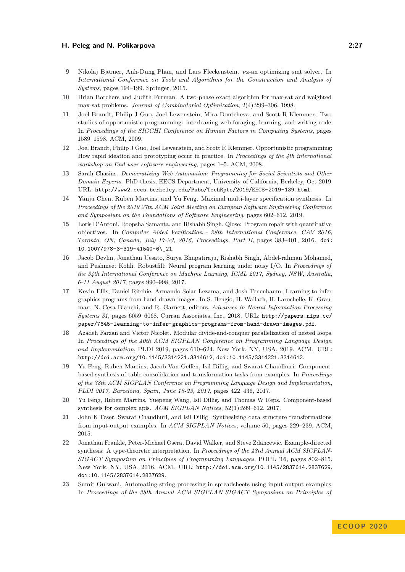- <span id="page-26-12"></span>**9** Nikolaj Bjørner, Anh-Dung Phan, and Lars Fleckenstein. *ν*z-an optimizing smt solver. In *International Conference on Tools and Algorithms for the Construction and Analysis of Systems*, pages 194–199. Springer, 2015.
- <span id="page-26-11"></span>**10** Brian Borchers and Judith Furman. A two-phase exact algorithm for max-sat and weighted max-sat problems. *Journal of Combinatorial Optimization*, 2(4):299–306, 1998.
- <span id="page-26-0"></span>**11** Joel Brandt, Philip J Guo, Joel Lewenstein, Mira Dontcheva, and Scott R Klemmer. Two studies of opportunistic programming: interleaving web foraging, learning, and writing code. In *Proceedings of the SIGCHI Conference on Human Factors in Computing Systems*, pages 1589–1598. ACM, 2009.
- <span id="page-26-14"></span>**12** Joel Brandt, Philip J Guo, Joel Lewenstein, and Scott R Klemmer. Opportunistic programming: How rapid ideation and prototyping occur in practice. In *Proceedings of the 4th international workshop on End-user software engineering*, pages 1–5. ACM, 2008.
- <span id="page-26-5"></span>**13** Sarah Chasins. *Democratizing Web Automation: Programming for Social Scientists and Other Domain Experts*. PhD thesis, EECS Department, University of California, Berkeley, Oct 2019. URL: <http://www2.eecs.berkeley.edu/Pubs/TechRpts/2019/EECS-2019-139.html>.
- <span id="page-26-13"></span>**14** Yanju Chen, Ruben Martins, and Yu Feng. Maximal multi-layer specification synthesis. In *Proceedings of the 2019 27th ACM Joint Meeting on European Software Engineering Conference and Symposium on the Foundations of Software Engineering*, pages 602–612, 2019.
- <span id="page-26-6"></span>**15** Loris D'Antoni, Roopsha Samanta, and Rishabh Singh. Qlose: Program repair with quantitative objectives. In *Computer Aided Verification - 28th International Conference, CAV 2016, Toronto, ON, Canada, July 17-23, 2016, Proceedings, Part II*, pages 383–401, 2016. [doi:](https://doi.org/10.1007/978-3-319-41540-6_21) [10.1007/978-3-319-41540-6\\\_21](https://doi.org/10.1007/978-3-319-41540-6_21).
- <span id="page-26-8"></span>**16** Jacob Devlin, Jonathan Uesato, Surya Bhupatiraju, Rishabh Singh, Abdel-rahman Mohamed, and Pushmeet Kohli. Robustfill: Neural program learning under noisy I/O. In *Proceedings of the 34th International Conference on Machine Learning, ICML 2017, Sydney, NSW, Australia, 6-11 August 2017*, pages 990–998, 2017.
- <span id="page-26-9"></span>**17** Kevin Ellis, Daniel Ritchie, Armando Solar-Lezama, and Josh Tenenbaum. Learning to infer graphics programs from hand-drawn images. In S. Bengio, H. Wallach, H. Larochelle, K. Grauman, N. Cesa-Bianchi, and R. Garnett, editors, *Advances in Neural Information Processing Systems 31*, pages 6059–6068. Curran Associates, Inc., 2018. URL: [http://papers.nips.cc/](http://papers.nips.cc/paper/7845-learning-to-infer-graphics-programs-from-hand-drawn-images.pdf) [paper/7845-learning-to-infer-graphics-programs-from-hand-drawn-images.pdf](http://papers.nips.cc/paper/7845-learning-to-infer-graphics-programs-from-hand-drawn-images.pdf).
- <span id="page-26-7"></span>**18** Azadeh Farzan and Victor Nicolet. Modular divide-and-conquer parallelization of nested loops. In *Proceedings of the 40th ACM SIGPLAN Conference on Programming Language Design and Implementation*, PLDI 2019, pages 610–624, New York, NY, USA, 2019. ACM. URL: <http://doi.acm.org/10.1145/3314221.3314612>, [doi:10.1145/3314221.3314612](https://doi.org/10.1145/3314221.3314612).
- <span id="page-26-3"></span>**19** Yu Feng, Ruben Martins, Jacob Van Geffen, Isil Dillig, and Swarat Chaudhuri. Componentbased synthesis of table consolidation and transformation tasks from examples. In *Proceedings of the 38th ACM SIGPLAN Conference on Programming Language Design and Implementation, PLDI 2017, Barcelona, Spain, June 18-23, 2017*, pages 422–436, 2017.
- <span id="page-26-2"></span>**20** Yu Feng, Ruben Martins, Yuepeng Wang, Isil Dillig, and Thomas W Reps. Component-based synthesis for complex apis. *ACM SIGPLAN Notices*, 52(1):599–612, 2017.
- <span id="page-26-1"></span>**21** John K Feser, Swarat Chaudhuri, and Isil Dillig. Synthesizing data structure transformations from input-output examples. In *ACM SIGPLAN Notices*, volume 50, pages 229–239. ACM, 2015.
- <span id="page-26-10"></span>**22** Jonathan Frankle, Peter-Michael Osera, David Walker, and Steve Zdancewic. Example-directed synthesis: A type-theoretic interpretation. In *Proceedings of the 43rd Annual ACM SIGPLAN-SIGACT Symposium on Principles of Programming Languages*, POPL '16, pages 802–815, New York, NY, USA, 2016. ACM. URL: <http://doi.acm.org/10.1145/2837614.2837629>, [doi:10.1145/2837614.2837629](https://doi.org/10.1145/2837614.2837629).
- <span id="page-26-4"></span>**23** Sumit Gulwani. Automating string processing in spreadsheets using input-output examples. In *Proceedings of the 38th Annual ACM SIGPLAN-SIGACT Symposium on Principles of*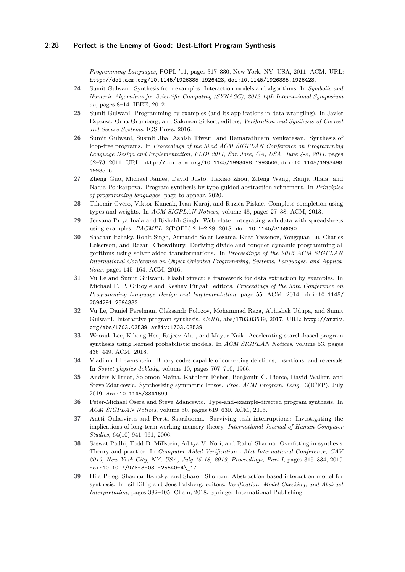*Programming Languages*, POPL '11, pages 317–330, New York, NY, USA, 2011. ACM. URL: <http://doi.acm.org/10.1145/1926385.1926423>, [doi:10.1145/1926385.1926423](https://doi.org/10.1145/1926385.1926423).

- <span id="page-27-0"></span>**24** Sumit Gulwani. Synthesis from examples: Interaction models and algorithms. In *Symbolic and Numeric Algorithms for Scientific Computing (SYNASC), 2012 14th International Symposium on*, pages 8–14. IEEE, 2012.
- <span id="page-27-2"></span>**25** Sumit Gulwani. Programming by examples (and its applications in data wrangling). In Javier Esparza, Orna Grumberg, and Salomon Sickert, editors, *Verification and Synthesis of Correct and Secure Systems*. IOS Press, 2016.
- <span id="page-27-9"></span>**26** Sumit Gulwani, Susmit Jha, Ashish Tiwari, and Ramarathnam Venkatesan. Synthesis of loop-free programs. In *Proceedings of the 32nd ACM SIGPLAN Conference on Programming Language Design and Implementation, PLDI 2011, San Jose, CA, USA, June 4-8, 2011*, pages 62–73, 2011. URL: <http://doi.acm.org/10.1145/1993498.1993506>, [doi:10.1145/1993498.](https://doi.org/10.1145/1993498.1993506) [1993506](https://doi.org/10.1145/1993498.1993506).
- <span id="page-27-10"></span>**27** Zheng Guo, Michael James, David Justo, Jiaxiao Zhou, Ziteng Wang, Ranjit Jhala, and Nadia Polikarpova. Program synthesis by type-guided abstraction refinement. In *Principles of programming languages*, page to appear, 2020.
- <span id="page-27-7"></span>**28** Tihomir Gvero, Viktor Kuncak, Ivan Kuraj, and Ruzica Piskac. Complete completion using types and weights. In *ACM SIGPLAN Notices*, volume 48, pages 27–38. ACM, 2013.
- <span id="page-27-4"></span>**29** Jeevana Priya Inala and Rishabh Singh. Webrelate: integrating web data with spreadsheets using examples. *PACMPL*, 2(POPL):2:1–2:28, 2018. [doi:10.1145/3158090](https://doi.org/10.1145/3158090).
- <span id="page-27-13"></span>**30** Shachar Itzhaky, Rohit Singh, Armando Solar-Lezama, Kuat Yessenov, Yongquan Lu, Charles Leiserson, and Rezaul Chowdhury. Deriving divide-and-conquer dynamic programming algorithms using solver-aided transformations. In *Proceedings of the 2016 ACM SIGPLAN International Conference on Object-Oriented Programming, Systems, Languages, and Applications*, pages 145–164. ACM, 2016.
- <span id="page-27-3"></span>**31** Vu Le and Sumit Gulwani. FlashExtract: a framework for data extraction by examples. In Michael F. P. O'Boyle and Keshav Pingali, editors, *Proceedings of the 35th Conference on Programming Language Design and Implementation*, page 55. ACM, 2014. [doi:10.1145/](https://doi.org/10.1145/2594291.2594333) [2594291.2594333](https://doi.org/10.1145/2594291.2594333).
- <span id="page-27-5"></span>**32** Vu Le, Daniel Perelman, Oleksandr Polozov, Mohammad Raza, Abhishek Udupa, and Sumit Gulwani. Interactive program synthesis. *CoRR*, abs/1703.03539, 2017. URL: [http://arxiv.](http://arxiv.org/abs/1703.03539) [org/abs/1703.03539](http://arxiv.org/abs/1703.03539), [arXiv:1703.03539](http://arxiv.org/abs/1703.03539).
- <span id="page-27-8"></span>**33** Woosuk Lee, Kihong Heo, Rajeev Alur, and Mayur Naik. Accelerating search-based program synthesis using learned probabilistic models. In *ACM SIGPLAN Notices*, volume 53, pages 436–449. ACM, 2018.
- <span id="page-27-11"></span>**34** Vladimir I Levenshtein. Binary codes capable of correcting deletions, insertions, and reversals. In *Soviet physics doklady*, volume 10, pages 707–710, 1966.
- <span id="page-27-15"></span>**35** Anders Miltner, Solomon Maina, Kathleen Fisher, Benjamin C. Pierce, David Walker, and Steve Zdancewic. Synthesizing symmetric lenses. *Proc. ACM Program. Lang.*, 3(ICFP), July 2019. [doi:10.1145/3341699](https://doi.org/10.1145/3341699).
- <span id="page-27-1"></span>**36** Peter-Michael Osera and Steve Zdancewic. Type-and-example-directed program synthesis. In *ACM SIGPLAN Notices*, volume 50, pages 619–630. ACM, 2015.
- <span id="page-27-12"></span>**37** Antti Oulasvirta and Pertti Saariluoma. Surviving task interruptions: Investigating the implications of long-term working memory theory. *International Journal of Human-Computer Studies*, 64(10):941–961, 2006.
- <span id="page-27-14"></span>**38** Saswat Padhi, Todd D. Millstein, Aditya V. Nori, and Rahul Sharma. Overfitting in synthesis: Theory and practice. In *Computer Aided Verification - 31st International Conference, CAV 2019, New York City, NY, USA, July 15-18, 2019, Proceedings, Part I*, pages 315–334, 2019. [doi:10.1007/978-3-030-25540-4\\\_17](https://doi.org/10.1007/978-3-030-25540-4_17).
- <span id="page-27-6"></span>**39** Hila Peleg, Shachar Itzhaky, and Sharon Shoham. Abstraction-based interaction model for synthesis. In Isil Dillig and Jens Palsberg, editors, *Verification, Model Checking, and Abstract Interpretation*, pages 382–405, Cham, 2018. Springer International Publishing.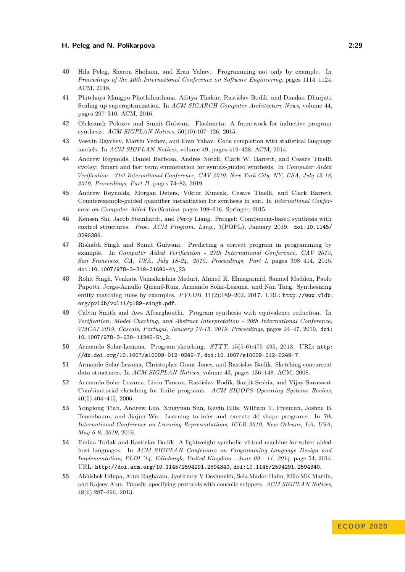- <span id="page-28-7"></span>**40** Hila Peleg, Sharon Shoham, and Eran Yahav. Programming not only by example. In *Proceedings of the 40th International Conference on Software Engineering*, pages 1114–1124. ACM, 2018.
- <span id="page-28-15"></span>**41** Phitchaya Mangpo Phothilimthana, Aditya Thakur, Rastislav Bodik, and Dinakar Dhurjati. Scaling up superoptimization. In *ACM SIGARCH Computer Architecture News*, volume 44, pages 297–310. ACM, 2016.
- <span id="page-28-8"></span>**42** Oleksandr Polozov and Sumit Gulwani. Flashmeta: A framework for inductive program synthesis. *ACM SIGPLAN Notices*, 50(10):107–126, 2015.
- <span id="page-28-4"></span>**43** Veselin Raychev, Martin Vechev, and Eran Yahav. Code completion with statistical language models. In *ACM SIGPLAN Notices*, volume 49, pages 419–428. ACM, 2014.
- <span id="page-28-5"></span>**44** Andrew Reynolds, Haniel Barbosa, Andres Nötzli, Clark W. Barrett, and Cesare Tinelli. cvc4sy: Smart and fast term enumeration for syntax-guided synthesis. In *Computer Aided Verification - 31st International Conference, CAV 2019, New York City, NY, USA, July 15-18, 2019, Proceedings, Part II*, pages 74–83, 2019.
- <span id="page-28-9"></span>**45** Andrew Reynolds, Morgan Deters, Viktor Kuncak, Cesare Tinelli, and Clark Barrett. Counterexample-guided quantifier instantiation for synthesis in smt. In *International Conference on Computer Aided Verification*, pages 198–216. Springer, 2015.
- <span id="page-28-2"></span>**46** Kensen Shi, Jacob Steinhardt, and Percy Liang. Frangel: Component-based synthesis with control structures. *Proc. ACM Program. Lang.*, 3(POPL), January 2019. [doi:10.1145/](https://doi.org/10.1145/3290386) [3290386](https://doi.org/10.1145/3290386).
- <span id="page-28-12"></span>**47** Rishabh Singh and Sumit Gulwani. Predicting a correct program in programming by example. In *Computer Aided Verification - 27th International Conference, CAV 2015, San Francisco, CA, USA, July 18-24, 2015, Proceedings, Part I*, pages 398–414, 2015. [doi:10.1007/978-3-319-21690-4\\\_23](https://doi.org/10.1007/978-3-319-21690-4_23).
- <span id="page-28-10"></span>**48** Rohit Singh, Venkata Vamsikrishna Meduri, Ahmed K. Elmagarmid, Samuel Madden, Paolo Papotti, Jorge-Arnulfo Quiané-Ruiz, Armando Solar-Lezama, and Nan Tang. Synthesizing entity matching rules by examples. *PVLDB*, 11(2):189–202, 2017. URL: [http://www.vldb.](http://www.vldb.org/pvldb/vol11/p189-singh.pdf) [org/pvldb/vol11/p189-singh.pdf](http://www.vldb.org/pvldb/vol11/p189-singh.pdf).
- <span id="page-28-13"></span>**49** Calvin Smith and Aws Albarghouthi. Program synthesis with equivalence reduction. In *Verification, Model Checking, and Abstract Interpretation - 20th International Conference, VMCAI 2019, Cascais, Portugal, January 13-15, 2019, Proceedings*, pages 24–47, 2019. [doi:](https://doi.org/10.1007/978-3-030-11245-5_2) [10.1007/978-3-030-11245-5\\\_2](https://doi.org/10.1007/978-3-030-11245-5_2).
- <span id="page-28-0"></span>**50** Armando Solar-Lezama. Program sketching. *STTT*, 15(5-6):475–495, 2013. URL: [http:](http://dx.doi.org/10.1007/s10009-012-0249-7) [//dx.doi.org/10.1007/s10009-012-0249-7](http://dx.doi.org/10.1007/s10009-012-0249-7), [doi:10.1007/s10009-012-0249-7](https://doi.org/10.1007/s10009-012-0249-7).
- <span id="page-28-14"></span>**51** Armando Solar-Lezama, Christopher Grant Jones, and Rastislav Bodik. Sketching concurrent data structures. In *ACM SIGPLAN Notices*, volume 43, pages 136–148. ACM, 2008.
- <span id="page-28-6"></span>**52** Armando Solar-Lezama, Liviu Tancau, Rastislav Bodik, Sanjit Seshia, and Vijay Saraswat. Combinatorial sketching for finite programs. *ACM SIGOPS Operating Systems Review*, 40(5):404–415, 2006.
- <span id="page-28-11"></span>**53** Yonglong Tian, Andrew Luo, Xingyuan Sun, Kevin Ellis, William T. Freeman, Joshua B. Tenenbaum, and Jiajun Wu. Learning to infer and execute 3d shape programs. In *7th International Conference on Learning Representations, ICLR 2019, New Orleans, LA, USA, May 6-9, 2019*, 2019.
- <span id="page-28-1"></span>**54** Emina Torlak and Rastislav Bodík. A lightweight symbolic virtual machine for solver-aided host languages. In *ACM SIGPLAN Conference on Programming Language Design and Implementation, PLDI '14, Edinburgh, United Kingdom - June 09 - 11, 2014*, page 54, 2014. URL: <http://doi.acm.org/10.1145/2594291.2594340>, [doi:10.1145/2594291.2594340](https://doi.org/10.1145/2594291.2594340).
- <span id="page-28-3"></span>**55** Abhishek Udupa, Arun Raghavan, Jyotirmoy V Deshmukh, Sela Mador-Haim, Milo MK Martin, and Rajeev Alur. Transit: specifying protocols with concolic snippets. *ACM SIGPLAN Notices*, 48(6):287–296, 2013.